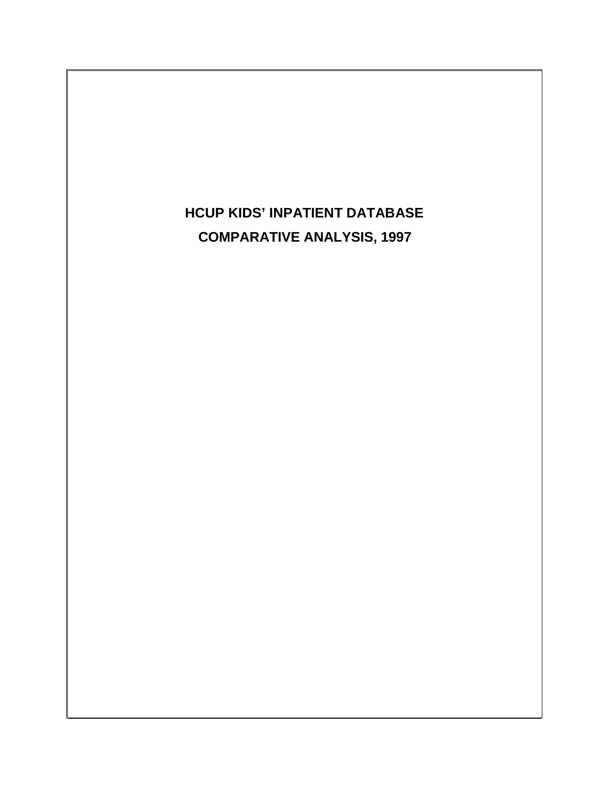# **HCUP KIDS' INPATIENT DATABASE COMPARATIVE ANALYSIS, 1997**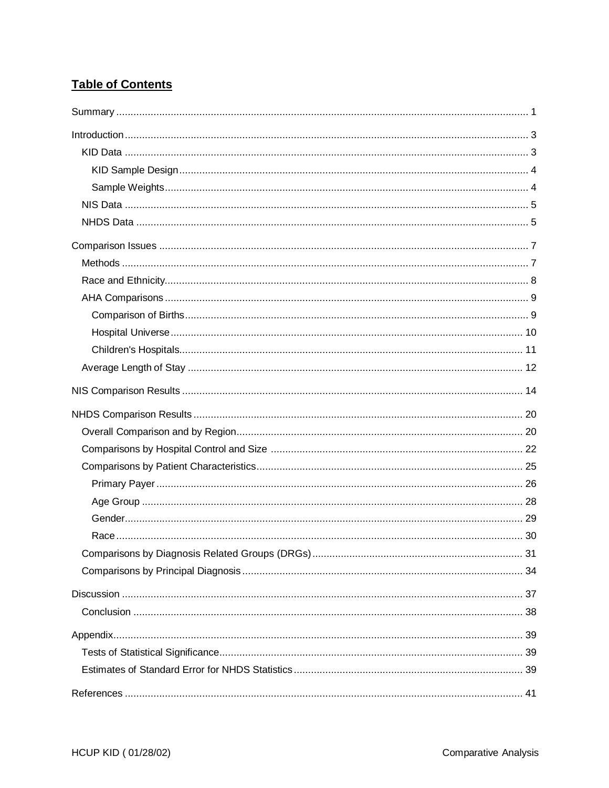## **Table of Contents**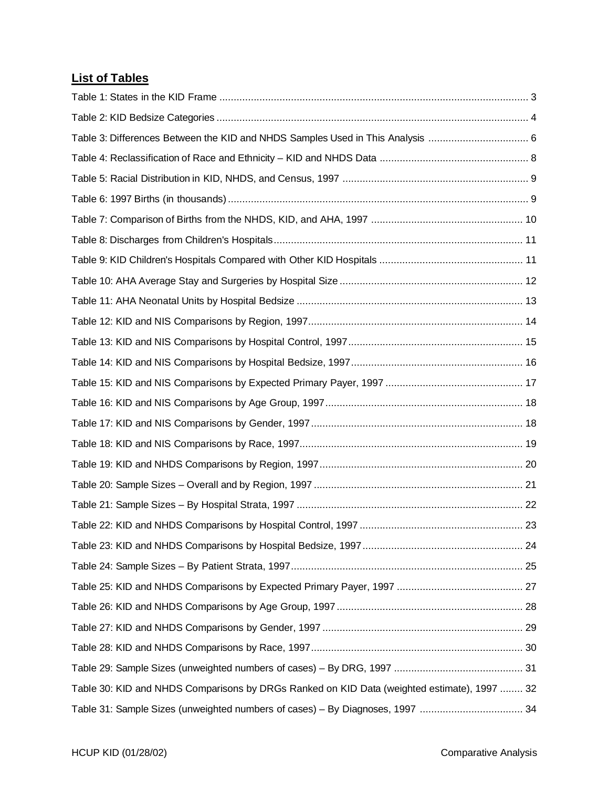## **List of Tables**

| Table 3: Differences Between the KID and NHDS Samples Used in This Analysis  6              |  |
|---------------------------------------------------------------------------------------------|--|
|                                                                                             |  |
|                                                                                             |  |
|                                                                                             |  |
|                                                                                             |  |
|                                                                                             |  |
|                                                                                             |  |
|                                                                                             |  |
|                                                                                             |  |
|                                                                                             |  |
|                                                                                             |  |
|                                                                                             |  |
|                                                                                             |  |
|                                                                                             |  |
|                                                                                             |  |
|                                                                                             |  |
|                                                                                             |  |
|                                                                                             |  |
|                                                                                             |  |
|                                                                                             |  |
|                                                                                             |  |
|                                                                                             |  |
|                                                                                             |  |
|                                                                                             |  |
|                                                                                             |  |
|                                                                                             |  |
|                                                                                             |  |
| Table 30: KID and NHDS Comparisons by DRGs Ranked on KID Data (weighted estimate), 1997  32 |  |
|                                                                                             |  |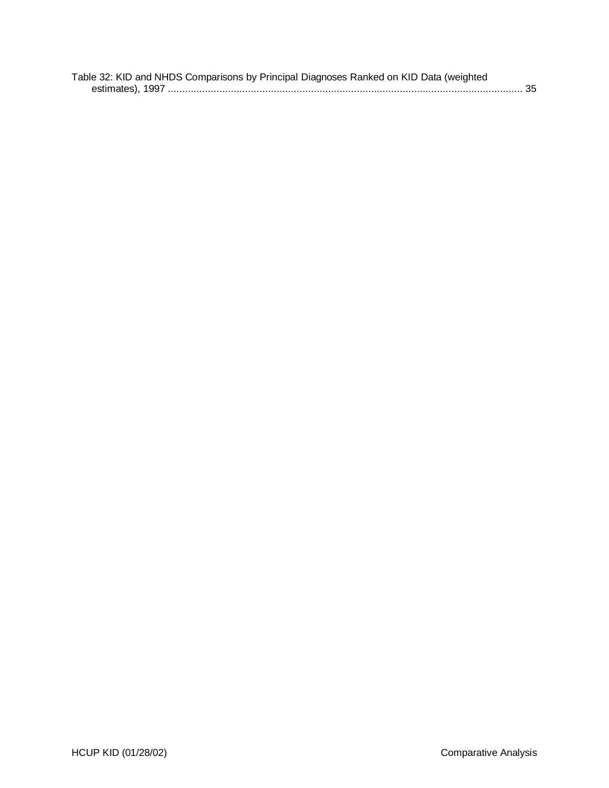| Table 32: KID and NHDS Comparisons by Principal Diagnoses Ranked on KID Data (weighted |  |
|----------------------------------------------------------------------------------------|--|
|                                                                                        |  |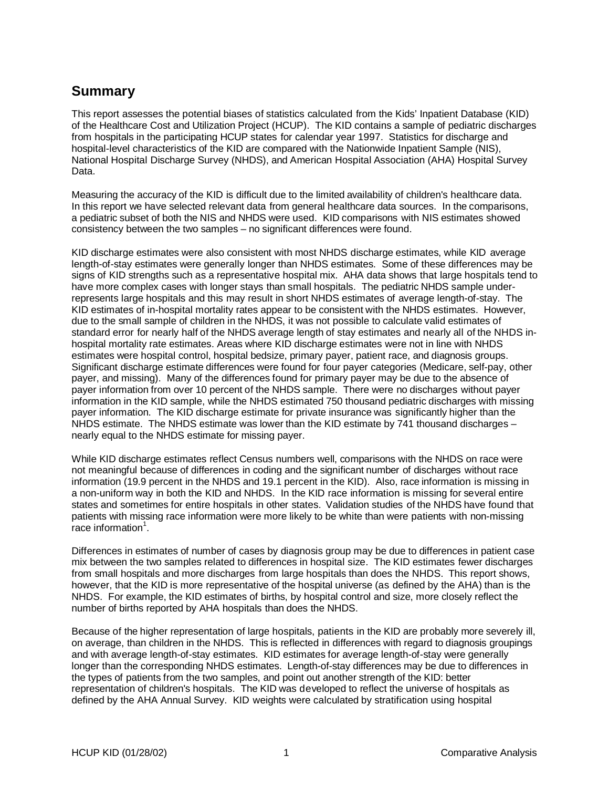## **Summary**

This report assesses the potential biases of statistics calculated from the Kids' Inpatient Database (KID) of the Healthcare Cost and Utilization Project (HCUP). The KID contains a sample of pediatric discharges from hospitals in the participating HCUP states for calendar year 1997. Statistics for discharge and hospital-level characteristics of the KID are compared with the Nationwide Inpatient Sample (NIS), National Hospital Discharge Survey (NHDS), and American Hospital Association (AHA) Hospital Survey Data.

Measuring the accuracy of the KID is difficult due to the limited availability of children's healthcare data. In this report we have selected relevant data from general healthcare data sources. In the comparisons, a pediatric subset of both the NIS and NHDS were used. KID comparisons with NIS estimates showed consistency between the two samples – no significant differences were found.

KID discharge estimates were also consistent with most NHDS discharge estimates, while KID average length-of-stay estimates were generally longer than NHDS estimates. Some of these differences may be signs of KID strengths such as a representative hospital mix. AHA data shows that large hospitals tend to have more complex cases with longer stays than small hospitals. The pediatric NHDS sample underrepresents large hospitals and this may result in short NHDS estimates of average length-of-stay. The KID estimates of in-hospital mortality rates appear to be consistent with the NHDS estimates. However, due to the small sample of children in the NHDS, it was not possible to calculate valid estimates of standard error for nearly half of the NHDS average length of stay estimates and nearly all of the NHDS inhospital mortality rate estimates. Areas where KID discharge estimates were not in line with NHDS estimates were hospital control, hospital bedsize, primary payer, patient race, and diagnosis groups. Significant discharge estimate differences were found for four payer categories (Medicare, self-pay, other payer, and missing). Many of the differences found for primary payer may be due to the absence of payer information from over 10 percent of the NHDS sample. There were no discharges without payer information in the KID sample, while the NHDS estimated 750 thousand pediatric discharges with missing payer information. The KID discharge estimate for private insurance was significantly higher than the NHDS estimate. The NHDS estimate was lower than the KID estimate by 741 thousand discharges nearly equal to the NHDS estimate for missing payer.

While KID discharge estimates reflect Census numbers well, comparisons with the NHDS on race were not meaningful because of differences in coding and the significant number of discharges without race information (19.9 percent in the NHDS and 19.1 percent in the KID). Also, race information is missing in a non-uniform way in both the KID and NHDS. In the KID race information is missing for several entire states and sometimes for entire hospitals in other states. Validation studies of the NHDS have found that patients with missing race information were more likely to be white than were patients with non-missing  $\overline{\phantom{a}}$ race information $^1$ .

Differences in estimates of number of cases by diagnosis group may be due to differences in patient case mix between the two samples related to differences in hospital size. The KID estimates fewer discharges from small hospitals and more discharges from large hospitals than does the NHDS. This report shows, however, that the KID is more representative of the hospital universe (as defined by the AHA) than is the NHDS. For example, the KID estimates of births, by hospital control and size, more closely reflect the number of births reported by AHA hospitals than does the NHDS.

Because of the higher representation of large hospitals, patients in the KID are probably more severely ill, on average, than children in the NHDS. This is reflected in differences with regard to diagnosis groupings and with average length-of-stay estimates. KID estimates for average length-of-stay were generally longer than the corresponding NHDS estimates. Length-of-stay differences may be due to differences in the types of patients from the two samples, and point out another strength of the KID: better representation of children's hospitals. The KID was developed to reflect the universe of hospitals as defined by the AHA Annual Survey. KID weights were calculated by stratification using hospital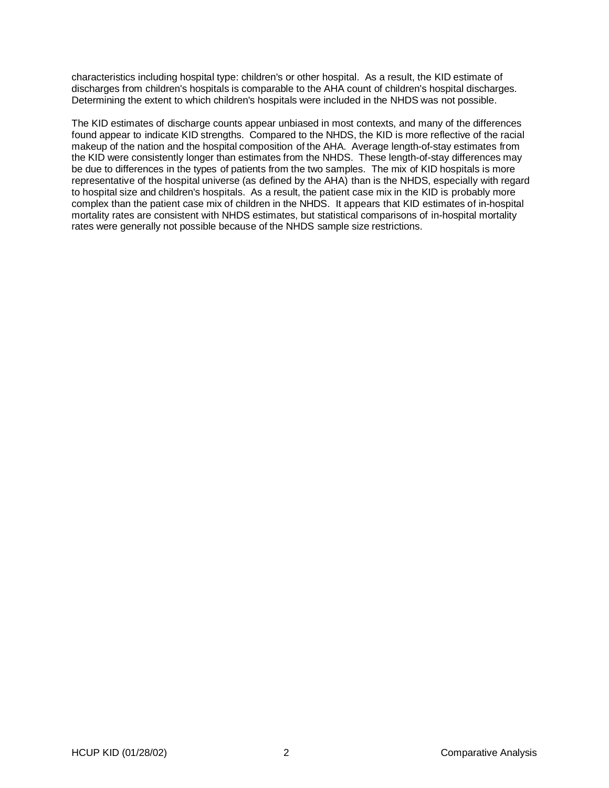characteristics including hospital type: children's or other hospital. As a result, the KID estimate of discharges from children's hospitals is comparable to the AHA count of children's hospital discharges. Determining the extent to which children's hospitals were included in the NHDS was not possible.

The KID estimates of discharge counts appear unbiased in most contexts, and many of the differences found appear to indicate KID strengths. Compared to the NHDS, the KID is more reflective of the racial makeup of the nation and the hospital composition of the AHA. Average length-of-stay estimates from the KID were consistently longer than estimates from the NHDS. These length-of-stay differences may be due to differences in the types of patients from the two samples. The mix of KID hospitals is more representative of the hospital universe (as defined by the AHA) than is the NHDS, especially with regard to hospital size and children's hospitals. As a result, the patient case mix in the KID is probably more complex than the patient case mix of children in the NHDS. It appears that KID estimates of in-hospital mortality rates are consistent with NHDS estimates, but statistical comparisons of in-hospital mortality rates were generally not possible because of the NHDS sample size restrictions.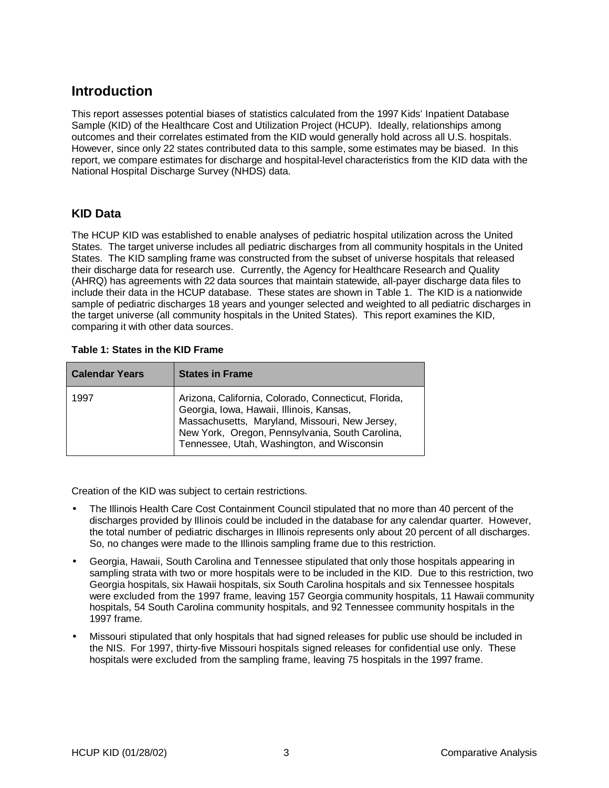## **Introduction**

This report assesses potential biases of statistics calculated from the 1997 Kids' Inpatient Database Sample (KID) of the Healthcare Cost and Utilization Project (HCUP). Ideally, relationships among outcomes and their correlates estimated from the KID would generally hold across all U.S. hospitals. However, since only 22 states contributed data to this sample, some estimates may be biased. In this report, we compare estimates for discharge and hospital-level characteristics from the KID data with the National Hospital Discharge Survey (NHDS) data.

#### **KID Data**

The HCUP KID was established to enable analyses of pediatric hospital utilization across the United States. The target universe includes all pediatric discharges from all community hospitals in the United States. The KID sampling frame was constructed from the subset of universe hospitals that released their discharge data for research use. Currently, the Agency for Healthcare Research and Quality (AHRQ) has agreements with 22 data sources that maintain statewide, all-payer discharge data files to include their data in the HCUP database. These states are shown in Table 1. The KID is a nationwide sample of pediatric discharges 18 years and younger selected and weighted to all pediatric discharges in the target universe (all community hospitals in the United States). This report examines the KID, comparing it with other data sources.

#### **Table 1: States in the KID Frame**

| <b>Calendar Years</b> | <b>States in Frame</b>                                                                                                                                                                                                                              |
|-----------------------|-----------------------------------------------------------------------------------------------------------------------------------------------------------------------------------------------------------------------------------------------------|
| 1997                  | Arizona, California, Colorado, Connecticut, Florida,<br>Georgia, Iowa, Hawaii, Illinois, Kansas,<br>Massachusetts, Maryland, Missouri, New Jersey,<br>New York, Oregon, Pennsylvania, South Carolina,<br>Tennessee, Utah, Washington, and Wisconsin |

Creation of the KID was subject to certain restrictions.

- The Illinois Health Care Cost Containment Council stipulated that no more than 40 percent of the discharges provided by Illinois could be included in the database for any calendar quarter. However, the total number of pediatric discharges in Illinois represents only about 20 percent of all discharges. So, no changes were made to the Illinois sampling frame due to this restriction.
- Georgia, Hawaii, South Carolina and Tennessee stipulated that only those hospitals appearing in sampling strata with two or more hospitals were to be included in the KID. Due to this restriction, two Georgia hospitals, six Hawaii hospitals, six South Carolina hospitals and six Tennessee hospitals were excluded from the 1997 frame, leaving 157 Georgia community hospitals, 11 Hawaii community hospitals, 54 South Carolina community hospitals, and 92 Tennessee community hospitals in the 1997 frame.
- Missouri stipulated that only hospitals that had signed releases for public use should be included in the NIS. For 1997, thirty-five Missouri hospitals signed releases for confidential use only. These hospitals were excluded from the sampling frame, leaving 75 hospitals in the 1997 frame.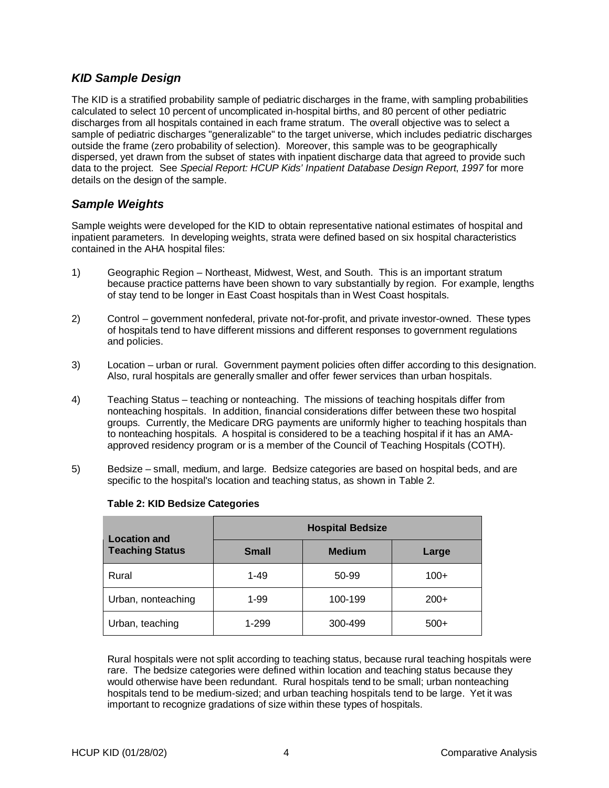### **KID Sample Design**

The KID is a stratified probability sample of pediatric discharges in the frame, with sampling probabilities calculated to select 10 percent of uncomplicated in-hospital births, and 80 percent of other pediatric discharges from all hospitals contained in each frame stratum. The overall objective was to select a sample of pediatric discharges "generalizable" to the target universe, which includes pediatric discharges outside the frame (zero probability of selection). Moreover, this sample was to be geographically dispersed, yet drawn from the subset of states with inpatient discharge data that agreed to provide such data to the project. See Special Report: HCUP Kids' Inpatient Database Design Report, 1997 for more details on the design of the sample.

### **Sample Weights**

Sample weights were developed for the KID to obtain representative national estimates of hospital and inpatient parameters. In developing weights, strata were defined based on six hospital characteristics contained in the AHA hospital files:

- 1) Geographic Region Northeast, Midwest, West, and South. This is an important stratum because practice patterns have been shown to vary substantially by region. For example, lengths of stay tend to be longer in East Coast hospitals than in West Coast hospitals.
- 2) Control government nonfederal, private not-for-profit, and private investor-owned. These types of hospitals tend to have different missions and different responses to government regulations and policies.
- 3) Location urban or rural. Government payment policies often differ according to this designation. Also, rural hospitals are generally smaller and offer fewer services than urban hospitals.
- 4) Teaching Status teaching or nonteaching. The missions of teaching hospitals differ from nonteaching hospitals. In addition, financial considerations differ between these two hospital groups. Currently, the Medicare DRG payments are uniformly higher to teaching hospitals than to nonteaching hospitals. A hospital is considered to be a teaching hospital if it has an AMAapproved residency program or is a member of the Council of Teaching Hospitals (COTH).
- 5) Bedsize small, medium, and large. Bedsize categories are based on hospital beds, and are specific to the hospital's location and teaching status, as shown in Table 2.

| <b>Location and</b>    | <b>Hospital Bedsize</b> |               |        |  |
|------------------------|-------------------------|---------------|--------|--|
| <b>Teaching Status</b> | <b>Small</b>            | <b>Medium</b> | Large  |  |
| Rural                  | $1 - 49$                | 50-99         | $100+$ |  |
| Urban, nonteaching     | 1-99                    | 100-199       | $200+$ |  |
| Urban, teaching        | 1-299                   | 300-499       | $500+$ |  |

#### **Table 2: KID Bedsize Categories**

Rural hospitals were not split according to teaching status, because rural teaching hospitals were rare. The bedsize categories were defined within location and teaching status because they would otherwise have been redundant. Rural hospitals tend to be small; urban nonteaching hospitals tend to be medium-sized; and urban teaching hospitals tend to be large. Yet it was important to recognize gradations of size within these types of hospitals.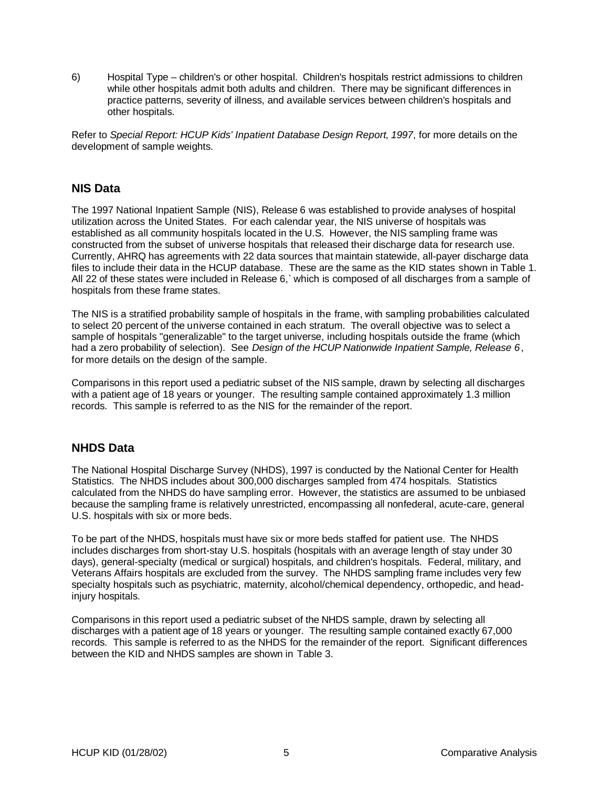6) Hospital Type – children's or other hospital. Children's hospitals restrict admissions to children while other hospitals admit both adults and children. There may be significant differences in practice patterns, severity of illness, and available services between children's hospitals and other hospitals.

Refer to Special Report: HCUP Kids' Inpatient Database Design Report, 1997, for more details on the development of sample weights.

#### **NIS Data**

The 1997 National Inpatient Sample (NIS), Release 6 was established to provide analyses of hospital utilization across the United States. For each calendar year, the NIS universe of hospitals was established as all community hospitals located in the U.S. However, the NIS sampling frame was constructed from the subset of universe hospitals that released their discharge data for research use. Currently, AHRQ has agreements with 22 data sources that maintain statewide, all-payer discharge data files to include their data in the HCUP database. These are the same as the KID states shown in Table 1. All 22 of these states were included in Release 6,` which is composed of all discharges from a sample of hospitals from these frame states.

The NIS is a stratified probability sample of hospitals in the frame, with sampling probabilities calculated to select 20 percent of the universe contained in each stratum. The overall objective was to select a sample of hospitals "generalizable" to the target universe, including hospitals outside the frame (which had a zero probability of selection). See Design of the HCUP Nationwide Inpatient Sample, Release 6, for more details on the design of the sample.

Comparisons in this report used a pediatric subset of the NIS sample, drawn by selecting all discharges with a patient age of 18 years or younger. The resulting sample contained approximately 1.3 million records. This sample is referred to as the NIS for the remainder of the report.

#### **NHDS Data**

The National Hospital Discharge Survey (NHDS), 1997 is conducted by the National Center for Health Statistics. The NHDS includes about 300,000 discharges sampled from 474 hospitals. Statistics calculated from the NHDS do have sampling error. However, the statistics are assumed to be unbiased because the sampling frame is relatively unrestricted, encompassing all nonfederal, acute-care, general U.S. hospitals with six or more beds.

To be part of the NHDS, hospitals must have six or more beds staffed for patient use. The NHDS includes discharges from short-stay U.S. hospitals (hospitals with an average length of stay under 30 days), general-specialty (medical or surgical) hospitals, and children's hospitals. Federal, military, and Veterans Affairs hospitals are excluded from the survey. The NHDS sampling frame includes very few specialty hospitals such as psychiatric, maternity, alcohol/chemical dependency, orthopedic, and headinjury hospitals.

Comparisons in this report used a pediatric subset of the NHDS sample, drawn by selecting all discharges with a patient age of 18 years or younger. The resulting sample contained exactly 67,000 records. This sample is referred to as the NHDS for the remainder of the report. Significant differences between the KID and NHDS samples are shown in Table 3.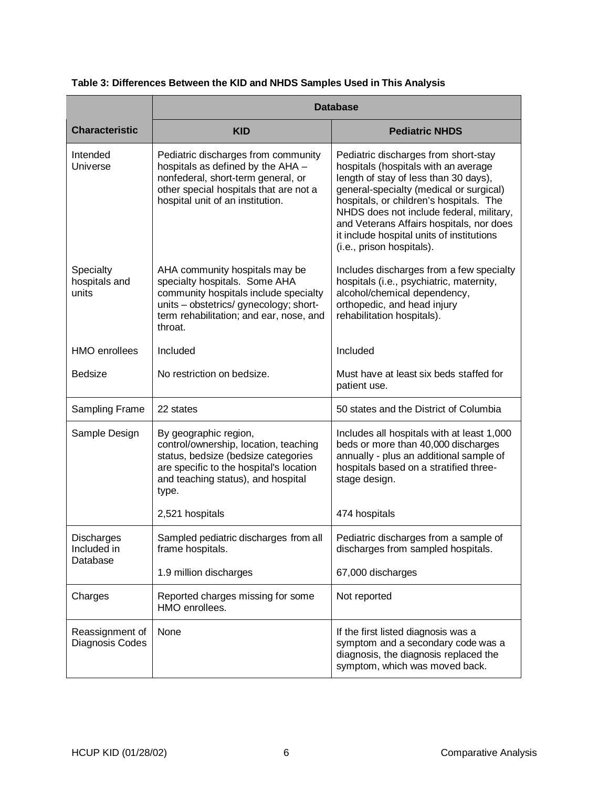|  |  |  | Table 3: Differences Between the KID and NHDS Samples Used in This Analysis |
|--|--|--|-----------------------------------------------------------------------------|
|--|--|--|-----------------------------------------------------------------------------|

|                                     | <b>Database</b>                                                                                                                                                                                                    |                                                                                                                                                                                                                                                                                                                                                                               |  |  |
|-------------------------------------|--------------------------------------------------------------------------------------------------------------------------------------------------------------------------------------------------------------------|-------------------------------------------------------------------------------------------------------------------------------------------------------------------------------------------------------------------------------------------------------------------------------------------------------------------------------------------------------------------------------|--|--|
| <b>Characteristic</b>               | <b>KID</b>                                                                                                                                                                                                         | <b>Pediatric NHDS</b>                                                                                                                                                                                                                                                                                                                                                         |  |  |
| Intended<br>Universe                | Pediatric discharges from community<br>hospitals as defined by the AHA -<br>nonfederal, short-term general, or<br>other special hospitals that are not a<br>hospital unit of an institution.                       | Pediatric discharges from short-stay<br>hospitals (hospitals with an average<br>length of stay of less than 30 days),<br>general-specialty (medical or surgical)<br>hospitals, or children's hospitals. The<br>NHDS does not include federal, military,<br>and Veterans Affairs hospitals, nor does<br>it include hospital units of institutions<br>(i.e., prison hospitals). |  |  |
| Specialty<br>hospitals and<br>units | AHA community hospitals may be<br>specialty hospitals. Some AHA<br>community hospitals include specialty<br>units - obstetrics/ gynecology; short-<br>term rehabilitation; and ear, nose, and<br>throat.           | Includes discharges from a few specialty<br>hospitals (i.e., psychiatric, maternity,<br>alcohol/chemical dependency,<br>orthopedic, and head injury<br>rehabilitation hospitals).                                                                                                                                                                                             |  |  |
| <b>HMO</b> enrollees                | Included                                                                                                                                                                                                           | Included                                                                                                                                                                                                                                                                                                                                                                      |  |  |
| <b>Bedsize</b>                      | No restriction on bedsize.                                                                                                                                                                                         | Must have at least six beds staffed for<br>patient use.                                                                                                                                                                                                                                                                                                                       |  |  |
| Sampling Frame                      | 22 states                                                                                                                                                                                                          | 50 states and the District of Columbia                                                                                                                                                                                                                                                                                                                                        |  |  |
| Sample Design                       | By geographic region,<br>control/ownership, location, teaching<br>status, bedsize (bedsize categories<br>are specific to the hospital's location<br>and teaching status), and hospital<br>type.<br>2,521 hospitals | Includes all hospitals with at least 1,000<br>beds or more than 40,000 discharges<br>annually - plus an additional sample of<br>hospitals based on a stratified three-<br>stage design.<br>474 hospitals                                                                                                                                                                      |  |  |
| Discharges                          | Sampled pediatric discharges from all                                                                                                                                                                              | Pediatric discharges from a sample of                                                                                                                                                                                                                                                                                                                                         |  |  |
| Included in<br>Database             | frame hospitals.                                                                                                                                                                                                   | discharges from sampled hospitals.                                                                                                                                                                                                                                                                                                                                            |  |  |
|                                     | 1.9 million discharges                                                                                                                                                                                             | 67,000 discharges                                                                                                                                                                                                                                                                                                                                                             |  |  |
| Charges                             | Reported charges missing for some<br>HMO enrollees.                                                                                                                                                                | Not reported                                                                                                                                                                                                                                                                                                                                                                  |  |  |
| Reassignment of<br>Diagnosis Codes  | None                                                                                                                                                                                                               | If the first listed diagnosis was a<br>symptom and a secondary code was a<br>diagnosis, the diagnosis replaced the<br>symptom, which was moved back.                                                                                                                                                                                                                          |  |  |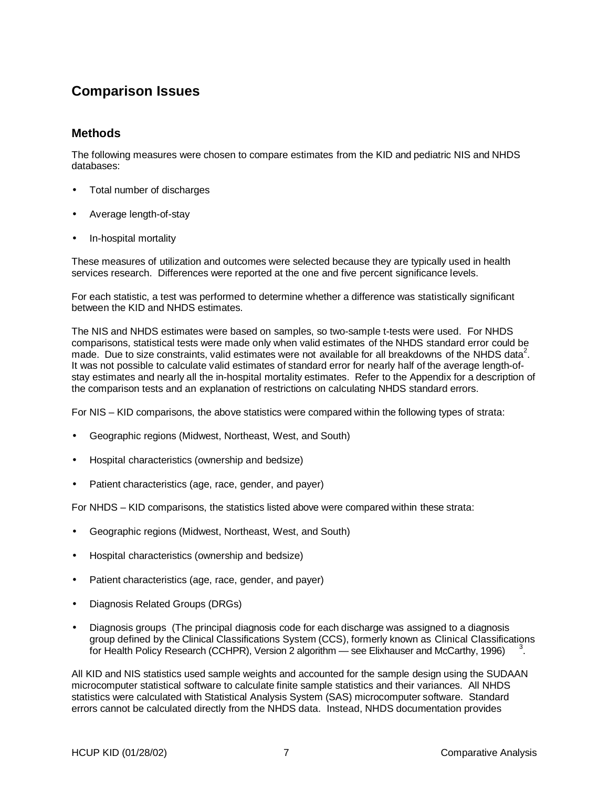## **Comparison Issues**

#### **Methods**

The following measures were chosen to compare estimates from the KID and pediatric NIS and NHDS databases:

- Total number of discharges
- Average length-of-stay
- In-hospital mortality

These measures of utilization and outcomes were selected because they are typically used in health services research. Differences were reported at the one and five percent significance levels.

For each statistic, a test was performed to determine whether a difference was statistically significant between the KID and NHDS estimates.

The NIS and NHDS estimates were based on samples, so two-sample t-tests were used. For NHDS comparisons, statistical tests were made only when valid estimates of the NHDS standard error could be made. Due to size constraints, valid estimates were not available for all breakdowns of the NHDS data<sup>2</sup>. It was not possible to calculate valid estimates of standard error for nearly half of the average length-ofstay estimates and nearly all the in-hospital mortality estimates. Refer to the Appendix for a description of the comparison tests and an explanation of restrictions on calculating NHDS standard errors.

For NIS – KID comparisons, the above statistics were compared within the following types of strata:

- Geographic regions (Midwest, Northeast, West, and South)
- Hospital characteristics (ownership and bedsize)
- Patient characteristics (age, race, gender, and payer)

For NHDS – KID comparisons, the statistics listed above were compared within these strata:

- Geographic regions (Midwest, Northeast, West, and South)
- Hospital characteristics (ownership and bedsize)
- Patient characteristics (age, race, gender, and payer)
- Diagnosis Related Groups (DRGs)
- Diagnosis groups (The principal diagnosis code for each discharge was assigned to a diagnosis group defined by the Clinical Classifications System (CCS), formerly known as Clinical Classifications for Health Policy Research (CCHPR), Version 2 algorithm — see Elixhauser and McCarthy, 1996) .

All KID and NIS statistics used sample weights and accounted for the sample design using the SUDAAN microcomputer statistical software to calculate finite sample statistics and their variances. All NHDS statistics were calculated with Statistical Analysis System (SAS) microcomputer software. Standard errors cannot be calculated directly from the NHDS data. Instead, NHDS documentation provides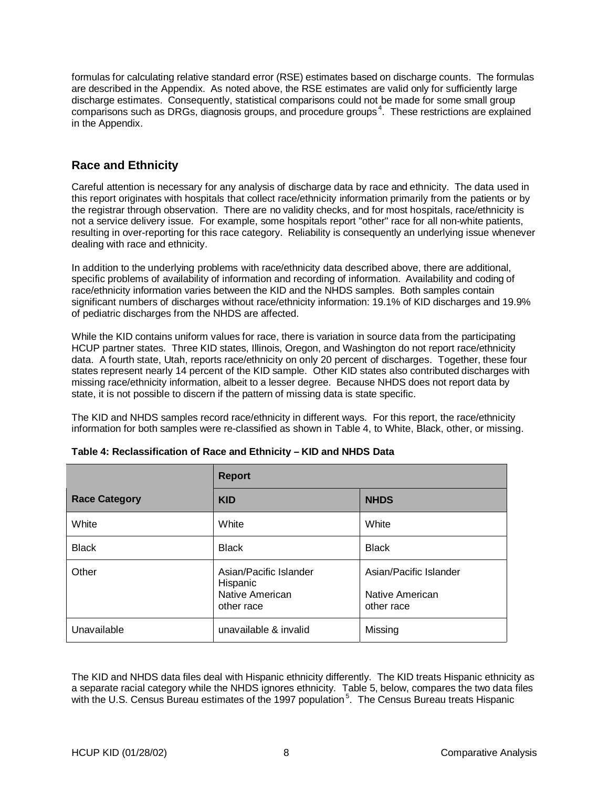formulas for calculating relative standard error (RSE) estimates based on discharge counts. The formulas are described in the Appendix. As noted above, the RSE estimates are valid only for sufficiently large discharge estimates. Consequently, statistical comparisons could not be made for some small group comparisons such as DRGs, diagnosis groups, and procedure groups<sup>4</sup>. These restrictions are explained in the Appendix.

### **Race and Ethnicity**

Careful attention is necessary for any analysis of discharge data by race and ethnicity. The data used in this report originates with hospitals that collect race/ethnicity information primarily from the patients or by the registrar through observation. There are no validity checks, and for most hospitals, race/ethnicity is not a service delivery issue. For example, some hospitals report "other" race for all non-white patients, resulting in over-reporting for this race category. Reliability is consequently an underlying issue whenever dealing with race and ethnicity.

In addition to the underlying problems with race/ethnicity data described above, there are additional, specific problems of availability of information and recording of information. Availability and coding of race/ethnicity information varies between the KID and the NHDS samples. Both samples contain significant numbers of discharges without race/ethnicity information: 19.1% of KID discharges and 19.9% of pediatric discharges from the NHDS are affected.

While the KID contains uniform values for race, there is variation in source data from the participating HCUP partner states. Three KID states, Illinois, Oregon, and Washington do not report race/ethnicity data. A fourth state, Utah, reports race/ethnicity on only 20 percent of discharges. Together, these four states represent nearly 14 percent of the KID sample. Other KID states also contributed discharges with missing race/ethnicity information, albeit to a lesser degree. Because NHDS does not report data by state, it is not possible to discern if the pattern of missing data is state specific.

The KID and NHDS samples record race/ethnicity in different ways. For this report, the race/ethnicity information for both samples were re-classified as shown in Table 4, to White, Black, other, or missing.

|                      | <b>Report</b>                                                       |                                                         |  |
|----------------------|---------------------------------------------------------------------|---------------------------------------------------------|--|
| <b>Race Category</b> | <b>KID</b>                                                          | <b>NHDS</b>                                             |  |
| White                | White                                                               | White                                                   |  |
| <b>Black</b>         | <b>Black</b>                                                        | <b>Black</b>                                            |  |
| Other                | Asian/Pacific Islander<br>Hispanic<br>Native American<br>other race | Asian/Pacific Islander<br>Native American<br>other race |  |
| Unavailable          | unavailable & invalid                                               | Missing                                                 |  |

#### **Table 4: Reclassification of Race and Ethnicity – KID and NHDS Data**

The KID and NHDS data files deal with Hispanic ethnicity differently. The KID treats Hispanic ethnicity as a separate racial category while the NHDS ignores ethnicity. Table 5, below, compares the two data files with the U.S. Census Bureau estimates of the 1997 population<sup>5</sup>. The Census Bureau treats Hispanic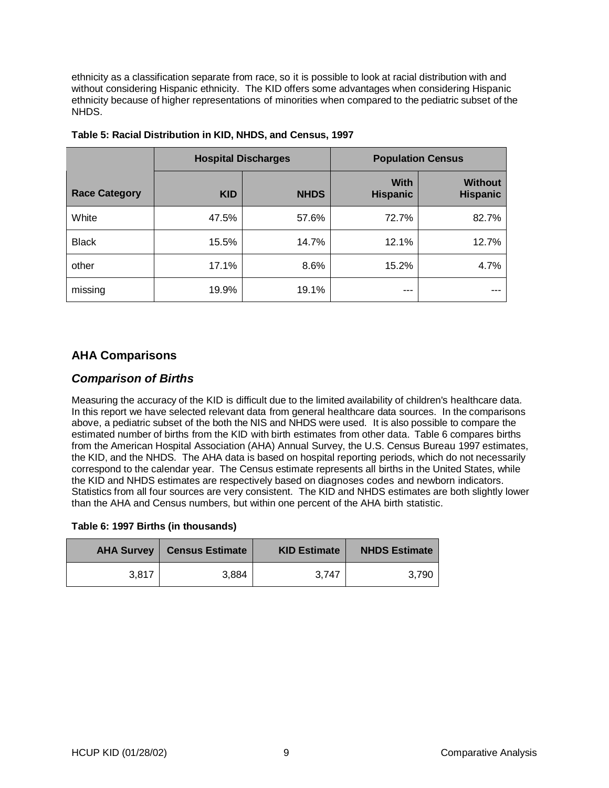ethnicity as a classification separate from race, so it is possible to look at racial distribution with and without considering Hispanic ethnicity. The KID offers some advantages when considering Hispanic ethnicity because of higher representations of minorities when compared to the pediatric subset of the **NHDS** 

|                      | <b>Hospital Discharges</b> |             |                                | <b>Population Census</b>          |
|----------------------|----------------------------|-------------|--------------------------------|-----------------------------------|
| <b>Race Category</b> | <b>KID</b>                 | <b>NHDS</b> | <b>With</b><br><b>Hispanic</b> | <b>Without</b><br><b>Hispanic</b> |
| White                | 47.5%                      | 57.6%       | 72.7%                          | 82.7%                             |
| <b>Black</b>         | 15.5%                      | 14.7%       | 12.1%                          | 12.7%                             |
| other                | 17.1%                      | 8.6%        | 15.2%                          | 4.7%                              |
| missing              | 19.9%                      | 19.1%       | ---                            |                                   |

| Table 5: Racial Distribution in KID, NHDS, and Census, 1997 |
|-------------------------------------------------------------|
|-------------------------------------------------------------|

#### **AHA Comparisons**

#### **Comparison of Births**

Measuring the accuracy of the KID is difficult due to the limited availability of children's healthcare data. In this report we have selected relevant data from general healthcare data sources. In the comparisons above, a pediatric subset of the both the NIS and NHDS were used. It is also possible to compare the estimated number of births from the KID with birth estimates from other data. Table 6 compares births from the American Hospital Association (AHA) Annual Survey, the U.S. Census Bureau 1997 estimates, the KID, and the NHDS. The AHA data is based on hospital reporting periods, which do not necessarily correspond to the calendar year. The Census estimate represents all births in the United States, while the KID and NHDS estimates are respectively based on diagnoses codes and newborn indicators. Statistics from all four sources are very consistent. The KID and NHDS estimates are both slightly lower than the AHA and Census numbers, but within one percent of the AHA birth statistic.

|  |  |  |  | Table 6: 1997 Births (in thousands) |
|--|--|--|--|-------------------------------------|
|--|--|--|--|-------------------------------------|

| <b>AHA Survey</b> | Census Estimate | <b>KID Estimate</b> | <b>NHDS Estimate</b> |
|-------------------|-----------------|---------------------|----------------------|
| 3.817             | 3.884           | 3.747               | 3.790                |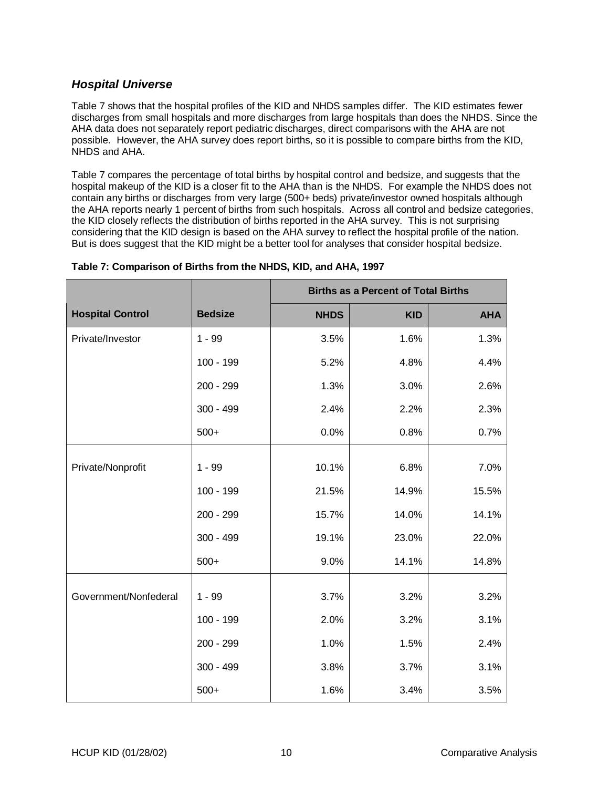### **Hospital Universe**

Table 7 shows that the hospital profiles of the KID and NHDS samples differ. The KID estimates fewer discharges from small hospitals and more discharges from large hospitals than does the NHDS. Since the AHA data does not separately report pediatric discharges, direct comparisons with the AHA are not possible. However, the AHA survey does report births, so it is possible to compare births from the KID, NHDS and AHA.

Table 7 compares the percentage of total births by hospital control and bedsize, and suggests that the hospital makeup of the KID is a closer fit to the AHA than is the NHDS. For example the NHDS does not contain any births or discharges from very large (500+ beds) private/investor owned hospitals although the AHA reports nearly 1 percent of births from such hospitals. Across all control and bedsize categories, the KID closely reflects the distribution of births reported in the AHA survey. This is not surprising considering that the KID design is based on the AHA survey to reflect the hospital profile of the nation. But is does suggest that the KID might be a better tool for analyses that consider hospital bedsize.

|                         |                | <b>Births as a Percent of Total Births</b> |            |            |  |  |  |
|-------------------------|----------------|--------------------------------------------|------------|------------|--|--|--|
| <b>Hospital Control</b> | <b>Bedsize</b> | <b>NHDS</b>                                | <b>KID</b> | <b>AHA</b> |  |  |  |
| Private/Investor        | $1 - 99$       | 3.5%                                       | 1.6%       | 1.3%       |  |  |  |
|                         | $100 - 199$    | 5.2%                                       | 4.8%       | 4.4%       |  |  |  |
|                         | 200 - 299      | 1.3%                                       | 3.0%       | 2.6%       |  |  |  |
|                         | $300 - 499$    | 2.4%                                       | 2.2%       | 2.3%       |  |  |  |
|                         | $500+$         | 0.0%                                       | 0.8%       | 0.7%       |  |  |  |
|                         |                |                                            |            |            |  |  |  |
| Private/Nonprofit       | $1 - 99$       | 10.1%                                      | 6.8%       | 7.0%       |  |  |  |
|                         | 100 - 199      | 21.5%                                      | 14.9%      | 15.5%      |  |  |  |
|                         | 200 - 299      | 15.7%                                      | 14.0%      | 14.1%      |  |  |  |
|                         | $300 - 499$    | 19.1%                                      | 23.0%      | 22.0%      |  |  |  |
|                         | $500+$         | 9.0%                                       | 14.1%      | 14.8%      |  |  |  |
|                         |                |                                            |            |            |  |  |  |
| Government/Nonfederal   | $1 - 99$       | 3.7%                                       | 3.2%       | 3.2%       |  |  |  |
|                         | 100 - 199      | 2.0%                                       | 3.2%       | 3.1%       |  |  |  |
|                         | 200 - 299      | 1.0%                                       | 1.5%       | 2.4%       |  |  |  |
|                         | $300 - 499$    | 3.8%                                       | 3.7%       | 3.1%       |  |  |  |
|                         | $500+$         | 1.6%                                       | 3.4%       | 3.5%       |  |  |  |

#### **Table 7: Comparison of Births from the NHDS, KID, and AHA, 1997**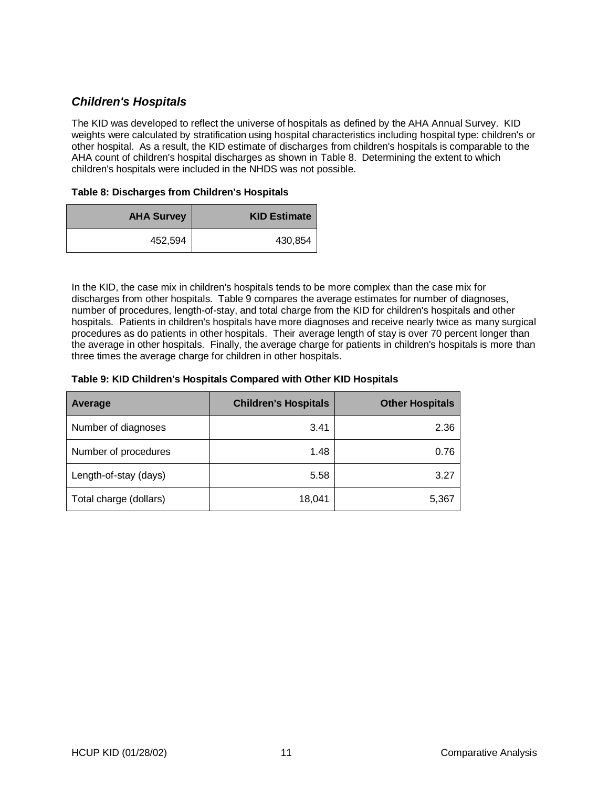## **Children's Hospitals**

The KID was developed to reflect the universe of hospitals as defined by the AHA Annual Survey. KID weights were calculated by stratification using hospital characteristics including hospital type: children's or other hospital. As a result, the KID estimate of discharges from children's hospitals is comparable to the AHA count of children's hospital discharges as shown in Table 8. Determining the extent to which children's hospitals were included in the NHDS was not possible.

#### **Table 8: Discharges from Children's Hospitals**

| <b>AHA Survey</b> | <b>KID Estimate</b> |
|-------------------|---------------------|
| 452,594           | 430,854             |

In the KID, the case mix in children's hospitals tends to be more complex than the case mix for discharges from other hospitals. Table 9 compares the average estimates for number of diagnoses, number of procedures, length-of-stay, and total charge from the KID for children's hospitals and other hospitals. Patients in children's hospitals have more diagnoses and receive nearly twice as many surgical procedures as do patients in other hospitals. Their average length of stay is over 70 percent longer than the average in other hospitals. Finally, the average charge for patients in children's hospitals is more than three times the average charge for children in other hospitals.

#### **Table 9: KID Children's Hospitals Compared with Other KID Hospitals**

| Average                | <b>Children's Hospitals</b> | <b>Other Hospitals</b> |
|------------------------|-----------------------------|------------------------|
| Number of diagnoses    | 3.41                        | 2.36                   |
| Number of procedures   | 1.48                        | 0.76                   |
| Length-of-stay (days)  | 5.58                        | 3.27                   |
| Total charge (dollars) | 18,041                      | 5,367                  |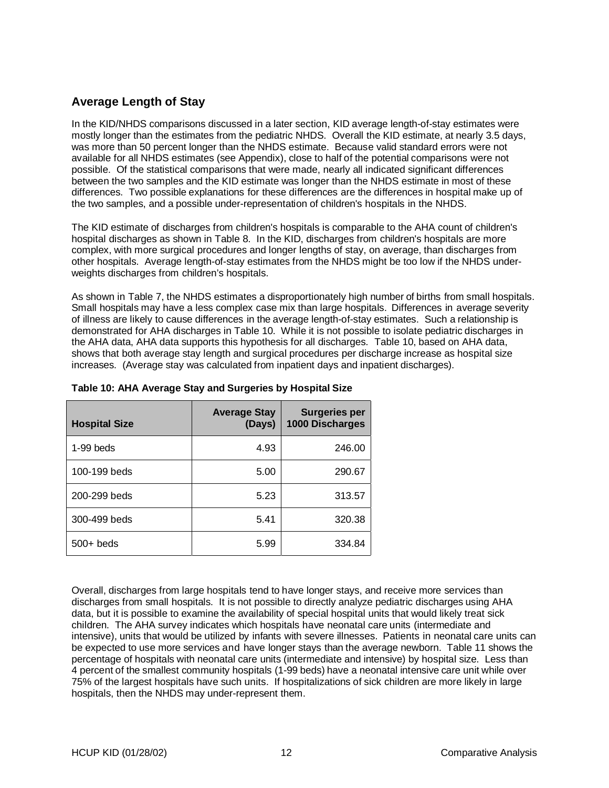## **Average Length of Stay**

In the KID/NHDS comparisons discussed in a later section, KID average length-of-stay estimates were mostly longer than the estimates from the pediatric NHDS. Overall the KID estimate, at nearly 3.5 days, was more than 50 percent longer than the NHDS estimate. Because valid standard errors were not available for all NHDS estimates (see Appendix), close to half of the potential comparisons were not possible. Of the statistical comparisons that were made, nearly all indicated significant differences between the two samples and the KID estimate was longer than the NHDS estimate in most of these differences. Two possible explanations for these differences are the differences in hospital make up of the two samples, and a possible under-representation of children's hospitals in the NHDS.

The KID estimate of discharges from children's hospitals is comparable to the AHA count of children's hospital discharges as shown in Table 8. In the KID, discharges from children's hospitals are more complex, with more surgical procedures and longer lengths of stay, on average, than discharges from other hospitals. Average length-of-stay estimates from the NHDS might be too low if the NHDS underweights discharges from children's hospitals.

As shown in Table 7, the NHDS estimates a disproportionately high number of births from small hospitals. Small hospitals may have a less complex case mix than large hospitals. Differences in average severity of illness are likely to cause differences in the average length-of-stay estimates. Such a relationship is demonstrated for AHA discharges in Table 10. While it is not possible to isolate pediatric discharges in the AHA data, AHA data supports this hypothesis for all discharges. Table 10, based on AHA data, shows that both average stay length and surgical procedures per discharge increase as hospital size increases. (Average stay was calculated from inpatient days and inpatient discharges).

| <b>Hospital Size</b> | <b>Average Stay</b><br>(Days) | <b>Surgeries per</b><br>1000 Discharges |
|----------------------|-------------------------------|-----------------------------------------|
| $1-99$ beds          | 4.93                          | 246.00                                  |
| 100-199 beds         | 5.00                          | 290.67                                  |
| 200-299 beds         | 5.23                          | 313.57                                  |
| 300-499 beds         | 5.41                          | 320.38                                  |
| $500+$ beds          | 5.99                          | 334.84                                  |

#### **Table 10: AHA Average Stay and Surgeries by Hospital Size**

Overall, discharges from large hospitals tend to have longer stays, and receive more services than discharges from small hospitals. It is not possible to directly analyze pediatric discharges using AHA data, but it is possible to examine the availability of special hospital units that would likely treat sick children. The AHA survey indicates which hospitals have neonatal care units (intermediate and intensive), units that would be utilized by infants with severe illnesses. Patients in neonatal care units can be expected to use more services and have longer stays than the average newborn. Table 11 shows the percentage of hospitals with neonatal care units (intermediate and intensive) by hospital size. Less than 4 percent of the smallest community hospitals (1-99 beds) have a neonatal intensive care unit while over 75% of the largest hospitals have such units. If hospitalizations of sick children are more likely in large hospitals, then the NHDS may under-represent them.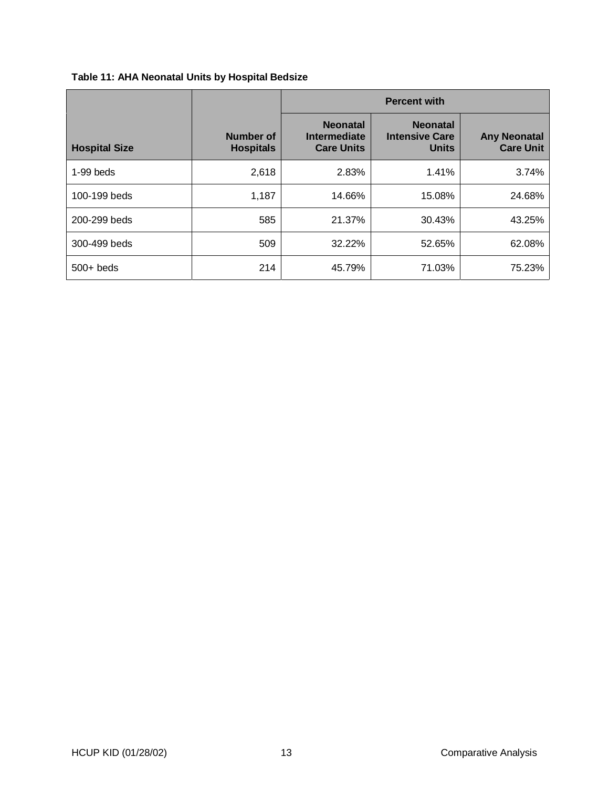|                      |                                      | <b>Percent with</b>                                  |                                                          |                                         |  |  |
|----------------------|--------------------------------------|------------------------------------------------------|----------------------------------------------------------|-----------------------------------------|--|--|
| <b>Hospital Size</b> | <b>Number of</b><br><b>Hospitals</b> | <b>Neonatal</b><br>Intermediate<br><b>Care Units</b> | <b>Neonatal</b><br><b>Intensive Care</b><br><b>Units</b> | <b>Any Neonatal</b><br><b>Care Unit</b> |  |  |
| $1-99$ beds          | 2,618                                | 2.83%                                                | 1.41%                                                    | 3.74%                                   |  |  |
| 100-199 beds         | 1,187                                | 14.66%                                               | 15.08%                                                   | 24.68%                                  |  |  |
| 200-299 beds         | 585                                  | 21.37%                                               | 30.43%                                                   | 43.25%                                  |  |  |
| 300-499 beds         | 509                                  | 32.22%                                               | 52.65%                                                   | 62.08%                                  |  |  |
| $500+$ beds          | 214                                  | 45.79%                                               | 71.03%                                                   | 75.23%                                  |  |  |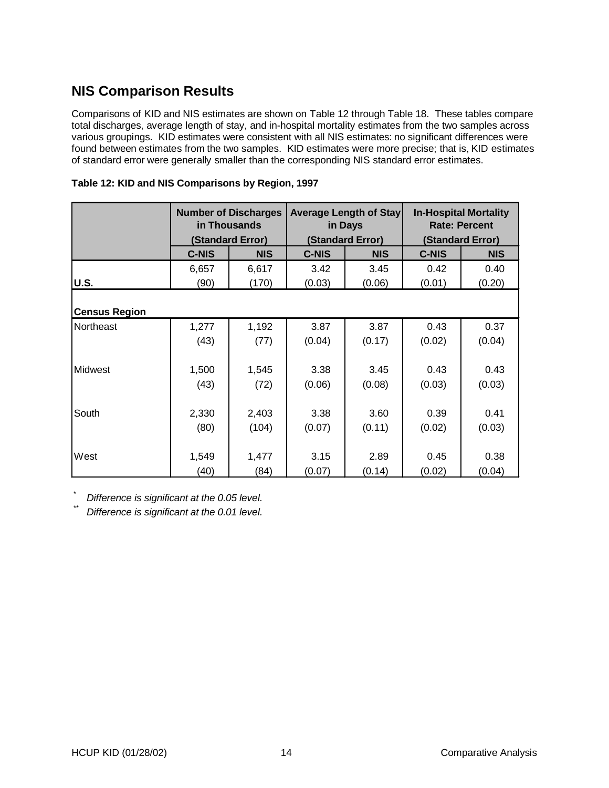## **NIS Comparison Results**

Comparisons of KID and NIS estimates are shown on Table 12 through Table 18. These tables compare total discharges, average length of stay, and in-hospital mortality estimates from the two samples across various groupings. KID estimates were consistent with all NIS estimates: no significant differences were found between estimates from the two samples. KID estimates were more precise; that is, KID estimates of standard error were generally smaller than the corresponding NIS standard error estimates.

|                      | <b>Number of Discharges</b><br>in Thousands<br>(Standard Error) |            | <b>Average Length of Stay</b><br>in Days<br>(Standard Error) |            | <b>In-Hospital Mortality</b><br><b>Rate: Percent</b><br>(Standard Error) |            |  |  |
|----------------------|-----------------------------------------------------------------|------------|--------------------------------------------------------------|------------|--------------------------------------------------------------------------|------------|--|--|
|                      | <b>C-NIS</b>                                                    | <b>NIS</b> | <b>C-NIS</b>                                                 | <b>NIS</b> | <b>C-NIS</b>                                                             | <b>NIS</b> |  |  |
|                      | 6,657                                                           | 6,617      | 3.42                                                         | 3.45       | 0.42                                                                     | 0.40       |  |  |
| U.S.                 | (90)                                                            | (170)      | (0.03)                                                       | (0.06)     | (0.01)                                                                   | (0.20)     |  |  |
| <b>Census Region</b> |                                                                 |            |                                                              |            |                                                                          |            |  |  |
| <b>Northeast</b>     | 1,277                                                           | 1,192      | 3.87                                                         | 3.87       | 0.43                                                                     | 0.37       |  |  |
|                      | (43)                                                            | (77)       | (0.04)                                                       | (0.17)     | (0.02)                                                                   | (0.04)     |  |  |
|                      |                                                                 |            |                                                              |            |                                                                          |            |  |  |
| <b>Midwest</b>       | 1,500                                                           | 1,545      | 3.38                                                         | 3.45       | 0.43                                                                     | 0.43       |  |  |
|                      | (43)                                                            | (72)       | (0.06)                                                       | (0.08)     | (0.03)                                                                   | (0.03)     |  |  |
|                      |                                                                 |            |                                                              |            |                                                                          |            |  |  |
| South                | 2,330                                                           | 2,403      | 3.38                                                         | 3.60       | 0.39                                                                     | 0.41       |  |  |
|                      | (80)                                                            | (104)      | (0.07)                                                       | (0.11)     | (0.02)                                                                   | (0.03)     |  |  |
|                      |                                                                 |            |                                                              |            |                                                                          |            |  |  |
| West                 | 1,549                                                           | 1,477      | 3.15                                                         | 2.89       | 0.45                                                                     | 0.38       |  |  |
|                      | (40)                                                            | (84)       | (0.07)                                                       | (0.14)     | (0.02)                                                                   | (0.04)     |  |  |

| Table 12: KID and NIS Comparisons by Region, 1997 |  |  |  |
|---------------------------------------------------|--|--|--|
|---------------------------------------------------|--|--|--|

Difference is significant at the 0.05 level.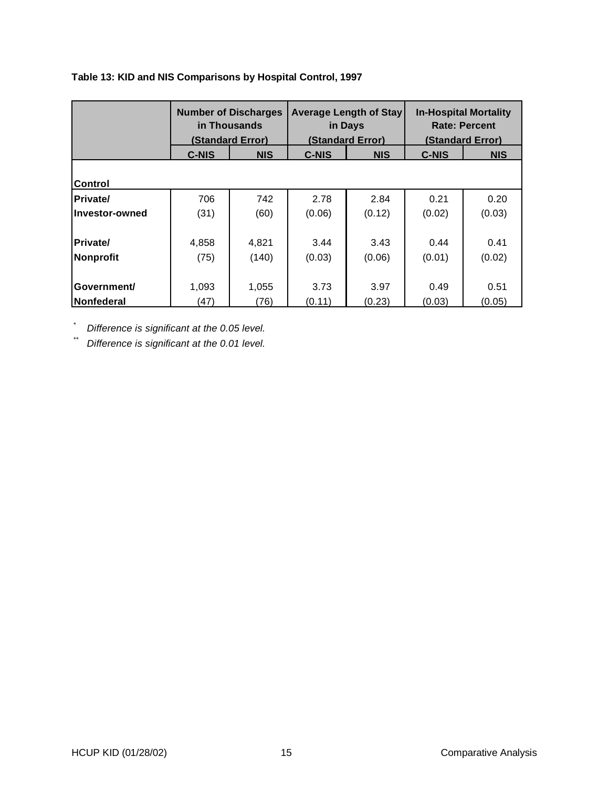### **Table 13: KID and NIS Comparisons by Hospital Control, 1997**

|                  | <b>Number of Discharges</b><br>in Thousands<br>(Standard Error) |            |              | <b>Average Length of Stay</b><br>in Days<br>(Standard Error) | <b>In-Hospital Mortality</b><br><b>Rate: Percent</b><br>(Standard Error) |            |
|------------------|-----------------------------------------------------------------|------------|--------------|--------------------------------------------------------------|--------------------------------------------------------------------------|------------|
|                  | <b>C-NIS</b>                                                    | <b>NIS</b> | <b>C-NIS</b> | <b>NIS</b>                                                   | <b>C-NIS</b>                                                             | <b>NIS</b> |
|                  |                                                                 |            |              |                                                              |                                                                          |            |
| Control          |                                                                 |            |              |                                                              |                                                                          |            |
| <b>Private/</b>  | 706                                                             | 742        | 2.78         | 2.84                                                         | 0.21                                                                     | 0.20       |
| Investor-owned   | (31)                                                            | (60)       | (0.06)       | (0.12)                                                       | (0.02)                                                                   | (0.03)     |
|                  |                                                                 |            |              |                                                              |                                                                          |            |
| Private/         | 4,858                                                           | 4,821      | 3.44         | 3.43                                                         | 0.44                                                                     | 0.41       |
| <b>Nonprofit</b> | (75)                                                            | (140)      | (0.03)       | (0.06)                                                       | (0.01)                                                                   | (0.02)     |
|                  |                                                                 |            |              |                                                              |                                                                          |            |
| Government/      | 1,093                                                           | 1,055      | 3.73         | 3.97                                                         | 0.49                                                                     | 0.51       |
| Nonfederal       | (47)                                                            | (76)       | (0.11)       | (0.23)                                                       | (0.03)                                                                   | (0.05)     |

 $\sum_{n=1}^{8}$  Difference is significant at the 0.05 level.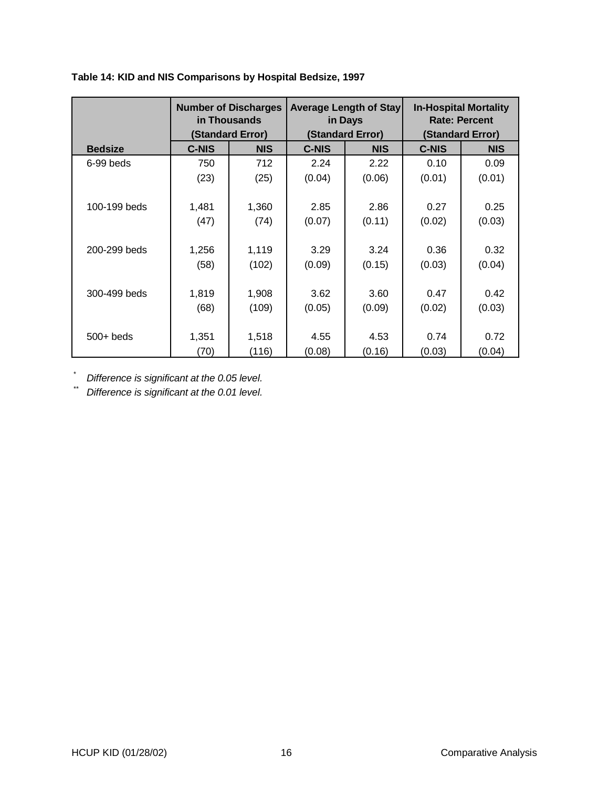### **Table 14: KID and NIS Comparisons by Hospital Bedsize, 1997**

|                | <b>Number of Discharges</b><br>in Thousands |                  | <b>Average Length of Stay</b><br>in Days |                  | <b>In-Hospital Mortality</b><br><b>Rate: Percent</b> |                  |  |
|----------------|---------------------------------------------|------------------|------------------------------------------|------------------|------------------------------------------------------|------------------|--|
|                |                                             | (Standard Error) |                                          | (Standard Error) |                                                      | (Standard Error) |  |
| <b>Bedsize</b> | <b>C-NIS</b>                                | <b>NIS</b>       | <b>C-NIS</b>                             | <b>NIS</b>       | <b>C-NIS</b>                                         | <b>NIS</b>       |  |
| 6-99 beds      | 750                                         | 712              | 2.24                                     | 2.22             | 0.10                                                 | 0.09             |  |
|                | (23)                                        | (25)             | (0.04)                                   | (0.06)           | (0.01)                                               | (0.01)           |  |
|                |                                             |                  |                                          |                  |                                                      |                  |  |
| 100-199 beds   | 1,481                                       | 1,360            | 2.85                                     | 2.86             | 0.27                                                 | 0.25             |  |
|                | (47)                                        | (74)             | (0.07)                                   | (0.11)           | (0.02)                                               | (0.03)           |  |
|                |                                             |                  |                                          |                  |                                                      |                  |  |
| 200-299 beds   | 1,256                                       | 1,119            | 3.29                                     | 3.24             | 0.36                                                 | 0.32             |  |
|                | (58)                                        | (102)            | (0.09)                                   | (0.15)           | (0.03)                                               | (0.04)           |  |
|                |                                             |                  |                                          |                  |                                                      |                  |  |
| 300-499 beds   | 1,819                                       | 1,908            | 3.62                                     | 3.60             | 0.47                                                 | 0.42             |  |
|                | (68)                                        | (109)            | (0.05)                                   | (0.09)           | (0.02)                                               | (0.03)           |  |
|                |                                             |                  |                                          |                  |                                                      |                  |  |
| $500+$ beds    | 1,351                                       | 1,518            | 4.55                                     | 4.53             | 0.74                                                 | 0.72             |  |
|                | (70)                                        | (116)            | (0.08)                                   | (0.16)           | (0.03)                                               | (0.04)           |  |

Difference is significant at the 0.05 level.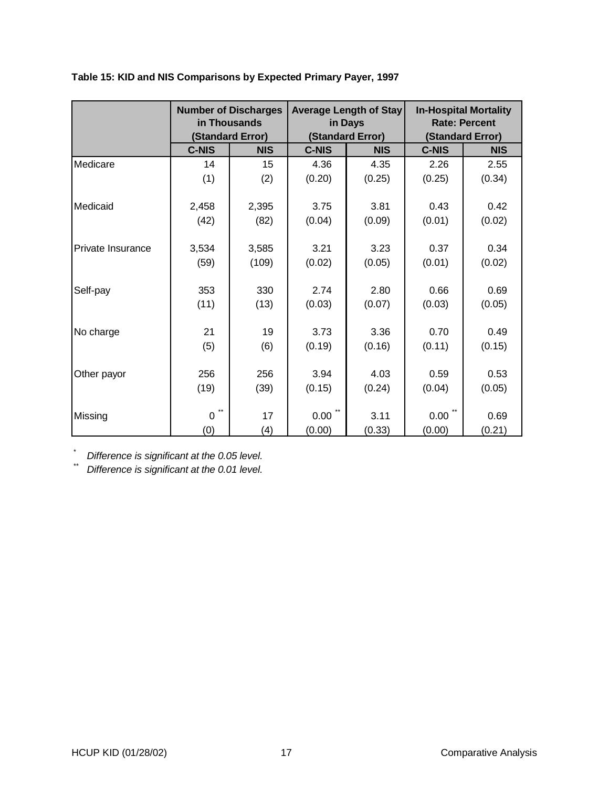|                   | <b>Number of Discharges</b><br>in Thousands |                  |                | <b>Average Length of Stay</b><br>in Days | <b>In-Hospital Mortality</b><br><b>Rate: Percent</b> |                  |  |
|-------------------|---------------------------------------------|------------------|----------------|------------------------------------------|------------------------------------------------------|------------------|--|
|                   |                                             | (Standard Error) |                | (Standard Error)                         |                                                      | (Standard Error) |  |
|                   | <b>C-NIS</b>                                | <b>NIS</b>       | <b>C-NIS</b>   | <b>NIS</b>                               | <b>C-NIS</b>                                         | <b>NIS</b>       |  |
| Medicare          | 14                                          | 15               | 4.36           | 4.35                                     | 2.26                                                 | 2.55             |  |
|                   | (1)                                         | (2)              | (0.20)         | (0.25)                                   | (0.25)                                               | (0.34)           |  |
| Medicaid          | 2,458                                       | 2,395            | 3.75           | 3.81                                     | 0.43                                                 | 0.42             |  |
|                   | (42)                                        | (82)             | (0.04)         | (0.09)                                   | (0.01)                                               | (0.02)           |  |
| Private Insurance | 3,534<br>(59)                               | 3,585<br>(109)   | 3.21<br>(0.02) | 3.23<br>(0.05)                           | 0.37<br>(0.01)                                       | 0.34<br>(0.02)   |  |
| Self-pay          | 353<br>(11)                                 | 330<br>(13)      | 2.74<br>(0.03) | 2.80<br>(0.07)                           | 0.66<br>(0.03)                                       | 0.69<br>(0.05)   |  |
| No charge         | 21<br>(5)                                   | 19<br>(6)        | 3.73<br>(0.19) | 3.36<br>(0.16)                           | 0.70<br>(0.11)                                       | 0.49<br>(0.15)   |  |
| Other payor       | 256<br>(19)                                 | 256<br>(39)      | 3.94<br>(0.15) | 4.03<br>(0.24)                           | 0.59<br>(0.04)                                       | 0.53<br>(0.05)   |  |
| Missing           | $0$ <sup>**</sup><br>(0)                    | 17<br>(4)        | 0.00<br>(0.00) | 3.11<br>(0.33)                           | 0.00<br>(0.00)                                       | 0.69<br>(0.21)   |  |

#### **Table 15: KID and NIS Comparisons by Expected Primary Payer, 1997**

 $\sum_{n=1}^{\infty}$  Difference is significant at the 0.05 level.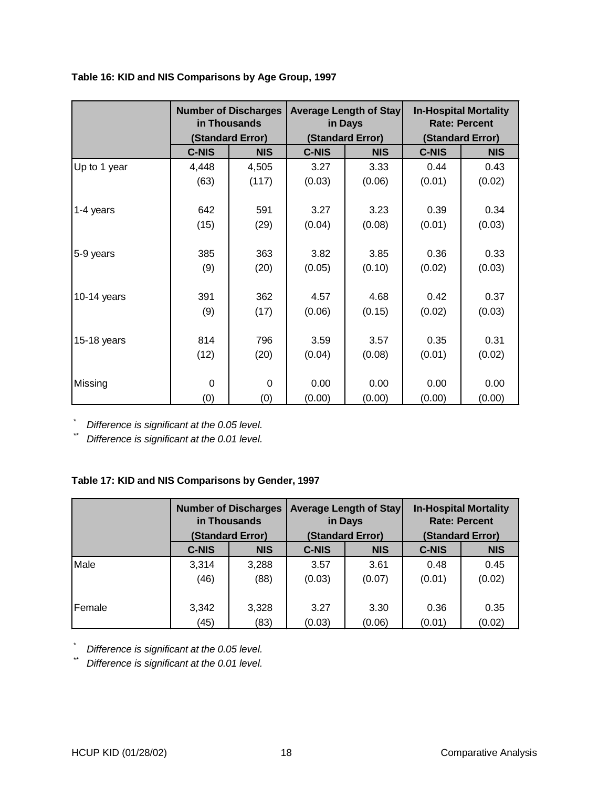|              |              | <b>Number of Discharges</b><br>in Thousands<br>(Standard Error) |              | <b>Average Length of Stay</b><br>in Days<br>(Standard Error) |              | <b>In-Hospital Mortality</b><br><b>Rate: Percent</b><br>(Standard Error) |
|--------------|--------------|-----------------------------------------------------------------|--------------|--------------------------------------------------------------|--------------|--------------------------------------------------------------------------|
|              | <b>C-NIS</b> | <b>NIS</b>                                                      | <b>C-NIS</b> | <b>NIS</b>                                                   | <b>C-NIS</b> | <b>NIS</b>                                                               |
| Up to 1 year | 4,448        | 4,505                                                           | 3.27         | 3.33                                                         | 0.44         | 0.43                                                                     |
|              | (63)         | (117)                                                           | (0.03)       | (0.06)                                                       | (0.01)       | (0.02)                                                                   |
|              |              |                                                                 |              |                                                              |              |                                                                          |
| 1-4 years    | 642          | 591                                                             | 3.27         | 3.23                                                         | 0.39         | 0.34                                                                     |
|              | (15)         | (29)                                                            | (0.04)       | (0.08)                                                       | (0.01)       | (0.03)                                                                   |
|              |              |                                                                 |              |                                                              |              |                                                                          |
| 5-9 years    | 385          | 363                                                             | 3.82         | 3.85                                                         | 0.36         | 0.33                                                                     |
|              | (9)          | (20)                                                            | (0.05)       | (0.10)                                                       | (0.02)       | (0.03)                                                                   |
|              |              |                                                                 |              |                                                              |              |                                                                          |
| 10-14 years  | 391          | 362                                                             | 4.57         | 4.68                                                         | 0.42         | 0.37                                                                     |
|              | (9)          | (17)                                                            | (0.06)       | (0.15)                                                       | (0.02)       | (0.03)                                                                   |
|              |              |                                                                 |              |                                                              |              |                                                                          |
| 15-18 years  | 814          | 796                                                             | 3.59         | 3.57                                                         | 0.35         | 0.31                                                                     |
|              | (12)         | (20)                                                            | (0.04)       | (0.08)                                                       | (0.01)       | (0.02)                                                                   |
|              |              |                                                                 |              |                                                              |              |                                                                          |
| Missing      | 0            | $\mathbf 0$                                                     | 0.00         | 0.00                                                         | 0.00         | 0.00                                                                     |
|              | (0)          | (0)                                                             | (0.00)       | (0.00)                                                       | (0.00)       | (0.00)                                                                   |

\* Difference is significant at the 0.05 level.

Difference is significant at the 0.01 level.

### **Table 17: KID and NIS Comparisons by Gender, 1997**

|        | <b>Number of Discharges</b><br>in Thousands<br>(Standard Error) |            | <b>Average Length of Stay</b><br>in Days<br>(Standard Error) |            | <b>In-Hospital Mortality</b><br><b>Rate: Percent</b><br>(Standard Error) |            |
|--------|-----------------------------------------------------------------|------------|--------------------------------------------------------------|------------|--------------------------------------------------------------------------|------------|
|        | <b>C-NIS</b>                                                    | <b>NIS</b> | <b>C-NIS</b>                                                 | <b>NIS</b> | <b>C-NIS</b>                                                             | <b>NIS</b> |
| Male   | 3,314                                                           | 3,288      | 3.57                                                         | 3.61       | 0.48                                                                     | 0.45       |
|        | (46)                                                            | (88)       | (0.03)                                                       | (0.07)     | (0.01)                                                                   | (0.02)     |
| Female | 3,342                                                           | 3,328      | 3.27                                                         | 3.30       | 0.36                                                                     | 0.35       |
|        | (45)                                                            | (83)       | (0.03)                                                       | (0.06)     | (0.01)                                                                   | (0.02)     |

 $\sum_{n=1}^{\infty}$  Difference is significant at the 0.05 level.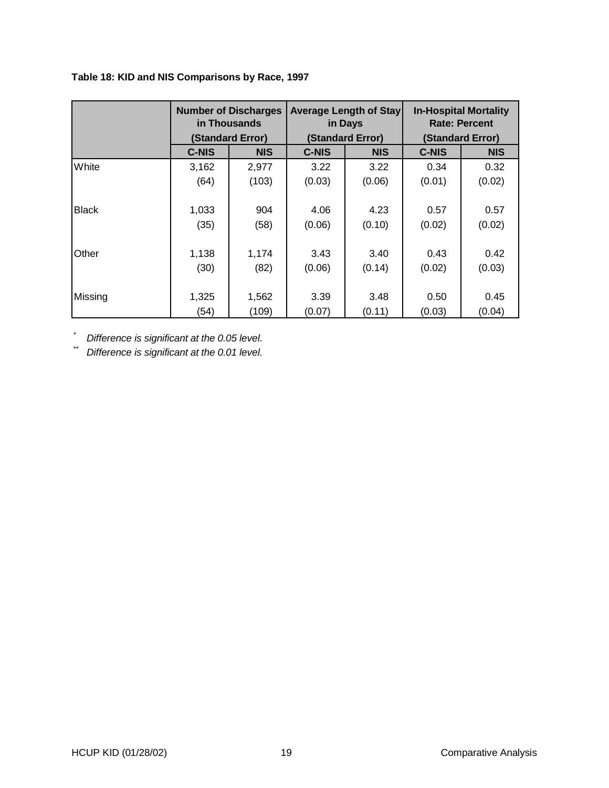### **Table 18: KID and NIS Comparisons by Race, 1997**

|              | <b>Number of Discharges</b><br>in Thousands<br>(Standard Error) |            | <b>Average Length of Stay</b><br>in Days<br>(Standard Error) |            | <b>In-Hospital Mortality</b><br><b>Rate: Percent</b><br>(Standard Error) |            |
|--------------|-----------------------------------------------------------------|------------|--------------------------------------------------------------|------------|--------------------------------------------------------------------------|------------|
|              | <b>C-NIS</b>                                                    | <b>NIS</b> | <b>C-NIS</b>                                                 | <b>NIS</b> | <b>C-NIS</b>                                                             | <b>NIS</b> |
| White        | 3,162                                                           | 2,977      | 3.22                                                         | 3.22       | 0.34                                                                     | 0.32       |
|              | (64)                                                            | (103)      | (0.03)                                                       | (0.06)     | (0.01)                                                                   | (0.02)     |
|              |                                                                 |            |                                                              |            |                                                                          |            |
| <b>Black</b> | 1,033                                                           | 904        | 4.06                                                         | 4.23       | 0.57                                                                     | 0.57       |
|              | (35)                                                            | (58)       | (0.06)                                                       | (0.10)     | (0.02)                                                                   | (0.02)     |
|              |                                                                 |            |                                                              |            |                                                                          |            |
| Other        | 1,138                                                           | 1,174      | 3.43                                                         | 3.40       | 0.43                                                                     | 0.42       |
|              | (30)                                                            | (82)       | (0.06)                                                       | (0.14)     | (0.02)                                                                   | (0.03)     |
|              |                                                                 |            |                                                              |            |                                                                          |            |
| Missing      | 1,325                                                           | 1,562      | 3.39                                                         | 3.48       | 0.50                                                                     | 0.45       |
|              | (54)                                                            | (109)      | (0.07)                                                       | (0.11)     | (0.03)                                                                   | (0.04)     |

\* Difference is significant at the 0.05 level.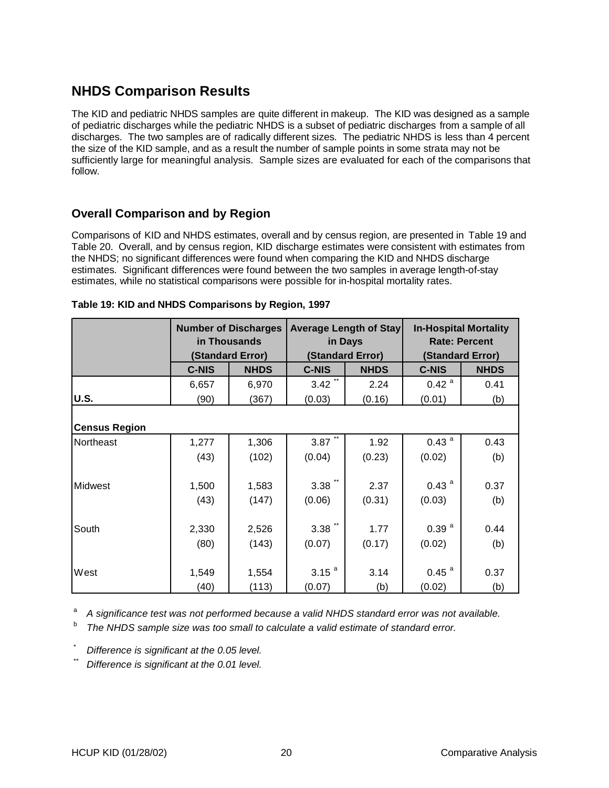## **NHDS Comparison Results**

The KID and pediatric NHDS samples are quite different in makeup. The KID was designed as a sample of pediatric discharges while the pediatric NHDS is a subset of pediatric discharges from a sample of all discharges. The two samples are of radically different sizes. The pediatric NHDS is less than 4 percent the size of the KID sample, and as a result the number of sample points in some strata may not be sufficiently large for meaningful analysis. Sample sizes are evaluated for each of the comparisons that follow.

## **Overall Comparison and by Region**

Comparisons of KID and NHDS estimates, overall and by census region, are presented in Table 19 and Table 20. Overall, and by census region, KID discharge estimates were consistent with estimates from the NHDS; no significant differences were found when comparing the KID and NHDS discharge estimates. Significant differences were found between the two samples in average length-of-stay estimates, while no statistical comparisons were possible for in-hospital mortality rates.

|                      | <b>Number of Discharges</b><br>in Thousands<br>(Standard Error) |             | <b>Average Length of Stay</b><br>in Days<br>(Standard Error) |             | <b>In-Hospital Mortality</b><br><b>Rate: Percent</b><br>(Standard Error) |             |
|----------------------|-----------------------------------------------------------------|-------------|--------------------------------------------------------------|-------------|--------------------------------------------------------------------------|-------------|
|                      |                                                                 |             |                                                              |             |                                                                          |             |
|                      | <b>C-NIS</b>                                                    | <b>NHDS</b> | <b>C-NIS</b>                                                 | <b>NHDS</b> | <b>C-NIS</b>                                                             | <b>NHDS</b> |
|                      | 6,657                                                           | 6,970       | 3.42                                                         | 2.24        | $0.42$ <sup>a</sup>                                                      | 0.41        |
| <b>U.S.</b>          | (90)                                                            | (367)       | (0.03)                                                       | (0.16)      | (0.01)                                                                   | (b)         |
| <b>Census Region</b> |                                                                 |             |                                                              |             |                                                                          |             |
| Northeast            | 1,277                                                           | 1,306       | 3.87                                                         | 1.92        | $0.43$ <sup>a</sup>                                                      | 0.43        |
|                      | (43)                                                            | (102)       | (0.04)                                                       | (0.23)      | (0.02)                                                                   | (b)         |
| Midwest              | 1,500                                                           | 1,583       | 3.38                                                         | 2.37        | $0.43$ <sup>a</sup>                                                      | 0.37        |
|                      |                                                                 |             |                                                              |             |                                                                          |             |
|                      | (43)                                                            | (147)       | (0.06)                                                       | (0.31)      | (0.03)                                                                   | (b)         |
| South                | 2,330                                                           | 2,526       | $3.38$ <sup>**</sup>                                         | 1.77        | 0.39 <sup>a</sup>                                                        | 0.44        |
|                      | (80)                                                            | (143)       | (0.07)                                                       | (0.17)      | (0.02)                                                                   | (b)         |
|                      |                                                                 |             |                                                              |             |                                                                          |             |
| West                 | 1,549                                                           | 1,554       | 3.15 <sup>a</sup>                                            | 3.14        | $0.45$ <sup>a</sup>                                                      | 0.37        |
|                      | (40)                                                            | (113)       | (0.07)                                                       | (b)         | (0.02)                                                                   | (b)         |

| Table 19: KID and NHDS Comparisons by Region, 1997 |  |
|----------------------------------------------------|--|
|----------------------------------------------------|--|

<sup>a</sup> A significance test was not performed because a valid NHDS standard error was not available.

 $b$  The NHDS sample size was too small to calculate a valid estimate of standard error.

Difference is significant at the 0.05 level.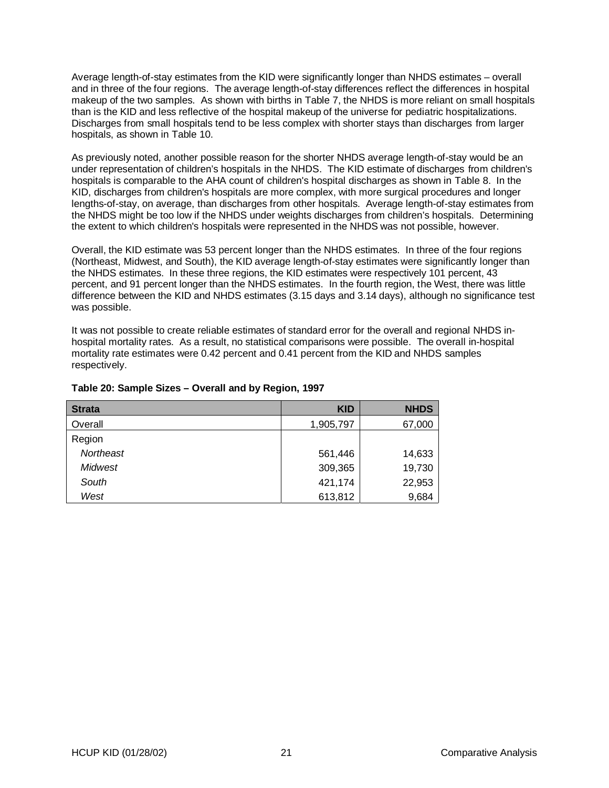Average length-of-stay estimates from the KID were significantly longer than NHDS estimates – overall and in three of the four regions. The average length-of-stay differences reflect the differences in hospital makeup of the two samples. As shown with births in Table 7, the NHDS is more reliant on small hospitals than is the KID and less reflective of the hospital makeup of the universe for pediatric hospitalizations. Discharges from small hospitals tend to be less complex with shorter stays than discharges from larger hospitals, as shown in Table 10.

As previously noted, another possible reason for the shorter NHDS average length-of-stay would be an under representation of children's hospitals in the NHDS. The KID estimate of discharges from children's hospitals is comparable to the AHA count of children's hospital discharges as shown in Table 8. In the KID, discharges from children's hospitals are more complex, with more surgical procedures and longer lengths-of-stay, on average, than discharges from other hospitals. Average length-of-stay estimates from the NHDS might be too low if the NHDS under weights discharges from children's hospitals. Determining the extent to which children's hospitals were represented in the NHDS was not possible, however.

Overall, the KID estimate was 53 percent longer than the NHDS estimates. In three of the four regions (Northeast, Midwest, and South), the KID average length-of-stay estimates were significantly longer than the NHDS estimates. In these three regions, the KID estimates were respectively 101 percent, 43 percent, and 91 percent longer than the NHDS estimates. In the fourth region, the West, there was little difference between the KID and NHDS estimates (3.15 days and 3.14 days), although no significance test was possible.

It was not possible to create reliable estimates of standard error for the overall and regional NHDS inhospital mortality rates. As a result, no statistical comparisons were possible. The overall in-hospital mortality rate estimates were 0.42 percent and 0.41 percent from the KID and NHDS samples respectively.

| <b>Strata</b>  | <b>KID</b> | <b>NHDS</b> |
|----------------|------------|-------------|
| Overall        | 1,905,797  | 67,000      |
| Region         |            |             |
| Northeast      | 561,446    | 14,633      |
| <b>Midwest</b> | 309,365    | 19,730      |
| South          | 421,174    | 22,953      |
| West           | 613,812    | 9,684       |

#### **Table 20: Sample Sizes – Overall and by Region, 1997**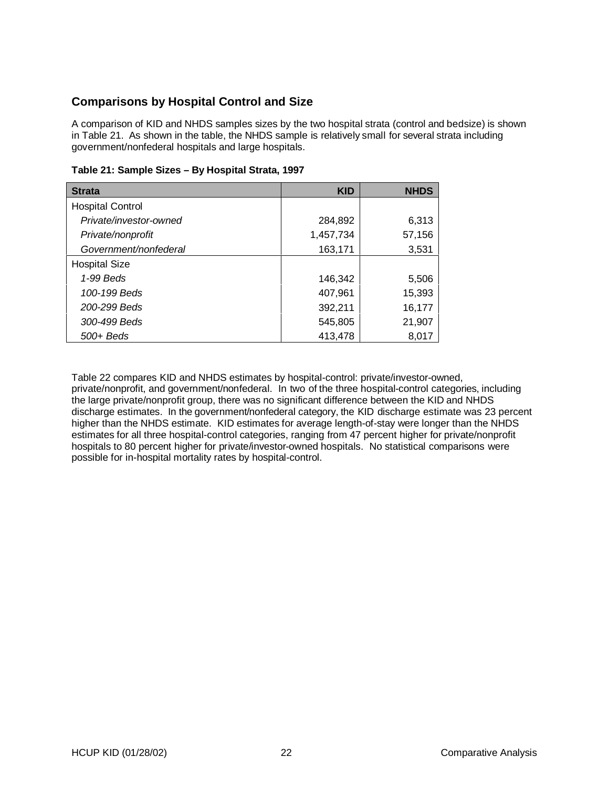## **Comparisons by Hospital Control and Size**

A comparison of KID and NHDS samples sizes by the two hospital strata (control and bedsize) is shown in Table 21. As shown in the table, the NHDS sample is relatively small for several strata including government/nonfederal hospitals and large hospitals.

| <b>Strata</b>           | <b>KID</b> | <b>NHDS</b> |
|-------------------------|------------|-------------|
| <b>Hospital Control</b> |            |             |
| Private/investor-owned  | 284,892    | 6,313       |
| Private/nonprofit       | 1,457,734  | 57,156      |
| Government/nonfederal   | 163,171    | 3,531       |
| <b>Hospital Size</b>    |            |             |
| 1-99 Beds               | 146,342    | 5,506       |
| 100-199 Beds            | 407,961    | 15,393      |
| 200-299 Beds            | 392,211    | 16,177      |
| 300-499 Beds            | 545,805    | 21,907      |
| $500 +$ Beds            | 413,478    | 8,017       |

**Table 21: Sample Sizes – By Hospital Strata, 1997**

Table 22 compares KID and NHDS estimates by hospital-control: private/investor-owned, private/nonprofit, and government/nonfederal. In two of the three hospital-control categories, including the large private/nonprofit group, there was no significant difference between the KID and NHDS discharge estimates. In the government/nonfederal category, the KID discharge estimate was 23 percent higher than the NHDS estimate. KID estimates for average length-of-stay were longer than the NHDS estimates for all three hospital-control categories, ranging from 47 percent higher for private/nonprofit hospitals to 80 percent higher for private/investor-owned hospitals. No statistical comparisons were possible for in-hospital mortality rates by hospital-control.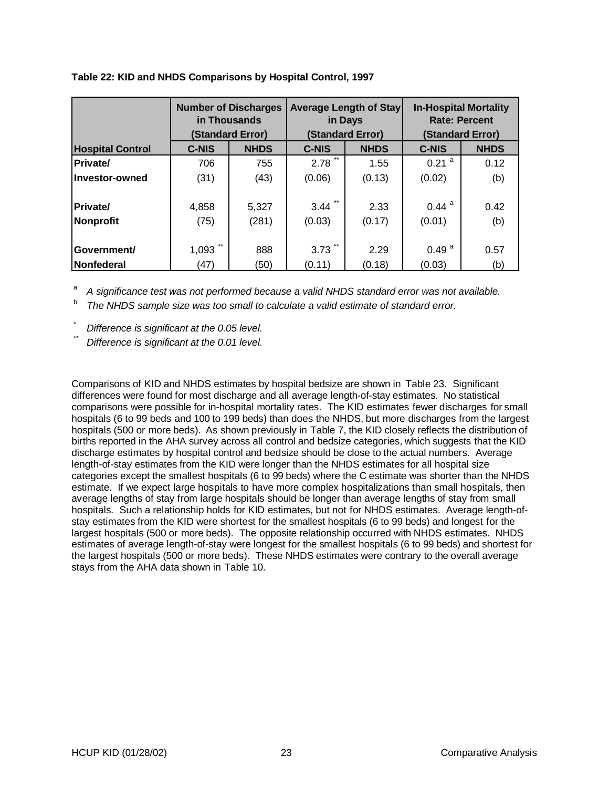|                         | <b>Number of Discharges</b><br>in Thousands |                  |               | <b>Average Length of Stay</b><br>in Days | <b>In-Hospital Mortality</b> | <b>Rate: Percent</b> |
|-------------------------|---------------------------------------------|------------------|---------------|------------------------------------------|------------------------------|----------------------|
|                         |                                             | (Standard Error) |               | (Standard Error)                         |                              | (Standard Error)     |
| <b>Hospital Control</b> | <b>C-NIS</b>                                | <b>NHDS</b>      | <b>C-NIS</b>  | <b>NHDS</b>                              | <b>C-NIS</b>                 | <b>NHDS</b>          |
| <b>Private/</b>         | 706                                         | 755              | $***$<br>2.78 | 1.55                                     | $0.21$ <sup>a</sup>          | 0.12                 |
| Investor-owned          | (31)                                        | (43)             | (0.06)        | (0.13)                                   | (0.02)                       | (b)                  |
| <b>Private/</b>         | 4,858                                       | 5,327            | 3.44          | 2.33                                     | $0.44$ <sup>a</sup>          | 0.42                 |
| Nonprofit               | (75)                                        | (281)            | (0.03)        | (0.17)                                   | (0.01)                       | (b)                  |
| Government/             | $***$<br>1,093                              | 888              | 3.73          | 2.29                                     | 0.49 <sup>a</sup>            | 0.57                 |
| <b>Nonfederal</b>       | (47)                                        | (50)             | (0.11)        | (0.18)                                   | (0.03)                       | (b)                  |

#### **Table 22: KID and NHDS Comparisons by Hospital Control, 1997**

<sup>a</sup> A significance test was not performed because a valid NHDS standard error was not available.

The NHDS sample size was too small to calculate a valid estimate of standard error.

Difference is significant at the 0.05 level.

Difference is significant at the 0.01 level.

Comparisons of KID and NHDS estimates by hospital bedsize are shown in Table 23. Significant differences were found for most discharge and all average length-of-stay estimates. No statistical comparisons were possible for in-hospital mortality rates. The KID estimates fewer discharges for small hospitals (6 to 99 beds and 100 to 199 beds) than does the NHDS, but more discharges from the largest hospitals (500 or more beds). As shown previously in Table 7, the KID closely reflects the distribution of births reported in the AHA survey across all control and bedsize categories, which suggests that the KID discharge estimates by hospital control and bedsize should be close to the actual numbers. Average length-of-stay estimates from the KID were longer than the NHDS estimates for all hospital size categories except the smallest hospitals (6 to 99 beds) where the C estimate was shorter than the NHDS estimate. If we expect large hospitals to have more complex hospitalizations than small hospitals, then average lengths of stay from large hospitals should be longer than average lengths of stay from small hospitals. Such a relationship holds for KID estimates, but not for NHDS estimates. Average length-ofstay estimates from the KID were shortest for the smallest hospitals (6 to 99 beds) and longest for the largest hospitals (500 or more beds). The opposite relationship occurred with NHDS estimates. NHDS estimates of average length-of-stay were longest for the smallest hospitals (6 to 99 beds) and shortest for the largest hospitals (500 or more beds). These NHDS estimates were contrary to the overall average stays from the AHA data shown in Table 10.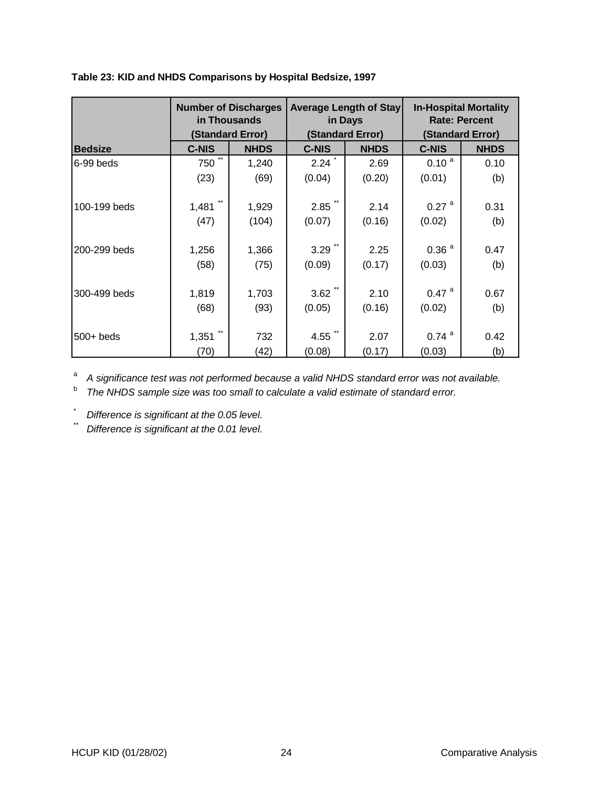|                | <b>Number of Discharges</b><br>in Thousands |                                 | <b>Average Length of Stay</b><br>in Days |                                 | <b>In-Hospital Mortality</b><br><b>Rate: Percent</b><br>(Standard Error) |             |
|----------------|---------------------------------------------|---------------------------------|------------------------------------------|---------------------------------|--------------------------------------------------------------------------|-------------|
| <b>Bedsize</b> | <b>C-NIS</b>                                | (Standard Error)<br><b>NHDS</b> | <b>C-NIS</b>                             | (Standard Error)<br><b>NHDS</b> | <b>C-NIS</b>                                                             | <b>NHDS</b> |
|                | $***$                                       |                                 |                                          |                                 |                                                                          |             |
| 6-99 beds      | 750                                         | 1,240                           | 2.24                                     | 2.69                            | 0.10 <sup>a</sup>                                                        | 0.10        |
|                | (23)                                        | (69)                            | (0.04)                                   | (0.20)                          | (0.01)                                                                   | (b)         |
|                |                                             |                                 |                                          |                                 |                                                                          |             |
| 100-199 beds   | 1,481                                       | 1,929                           | $2.85$ <sup>*</sup>                      | 2.14                            | $0.27$ <sup>a</sup>                                                      | 0.31        |
|                | (47)                                        | (104)                           | (0.07)                                   | (0.16)                          | (0.02)                                                                   | (b)         |
|                |                                             |                                 |                                          |                                 |                                                                          |             |
| 200-299 beds   | 1,256                                       | 1,366                           | 3.29                                     | 2.25                            | 0.36 <sup>a</sup>                                                        | 0.47        |
|                | (58)                                        | (75)                            | (0.09)                                   | (0.17)                          | (0.03)                                                                   | (b)         |
|                |                                             |                                 |                                          |                                 |                                                                          |             |
| 300-499 beds   | 1,819                                       | 1,703                           | 3.62                                     | 2.10                            | $0.47$ <sup>a</sup>                                                      | 0.67        |
|                | (68)                                        | (93)                            | (0.05)                                   | (0.16)                          | (0.02)                                                                   | (b)         |
|                |                                             |                                 |                                          |                                 |                                                                          |             |
| $500+$ beds    | 1,351                                       | 732                             | 4.55 $\ddot{ }$                          | 2.07                            | $0.74$ <sup>a</sup>                                                      | 0.42        |
|                | (70)                                        | (42)                            | (0.08)                                   | (0.17)                          | (0.03)                                                                   | (b)         |

<sup>a</sup> A significance test was not performed because a valid NHDS standard error was not available.

<sup>b</sup> The NHDS sample size was too small to calculate a valid estimate of standard error.

Difference is significant at the 0.05 level.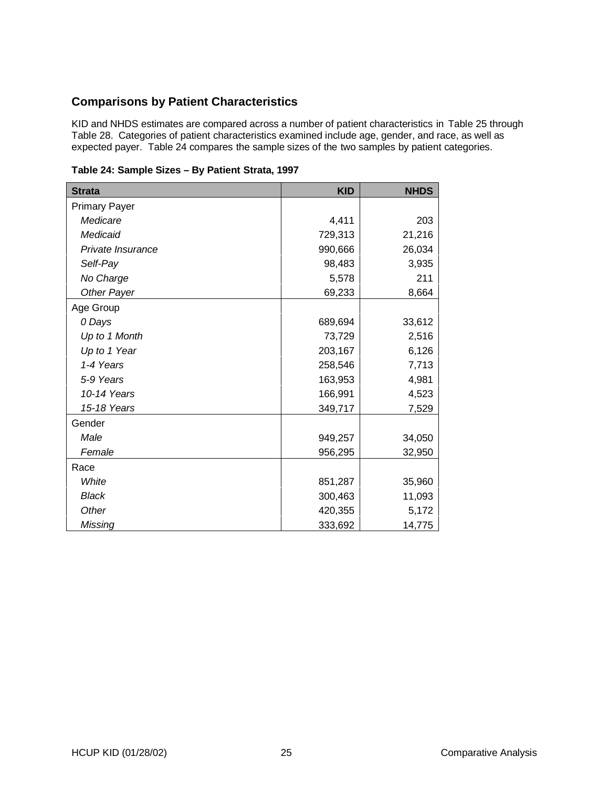## **Comparisons by Patient Characteristics**

KID and NHDS estimates are compared across a number of patient characteristics in Table 25 through Table 28. Categories of patient characteristics examined include age, gender, and race, as well as expected payer. Table 24 compares the sample sizes of the two samples by patient categories.

|  | Table 24: Sample Sizes - By Patient Strata, 1997 |  |  |  |
|--|--------------------------------------------------|--|--|--|
|--|--------------------------------------------------|--|--|--|

| <b>Strata</b>        | <b>KID</b> | <b>NHDS</b> |
|----------------------|------------|-------------|
| <b>Primary Payer</b> |            |             |
| Medicare             | 4,411      | 203         |
| Medicaid             | 729,313    | 21,216      |
| Private Insurance    | 990,666    | 26,034      |
| Self-Pay             | 98,483     | 3,935       |
| No Charge            | 5,578      | 211         |
| Other Payer          | 69,233     | 8,664       |
| Age Group            |            |             |
| 0 Days               | 689,694    | 33,612      |
| Up to 1 Month        | 73,729     | 2,516       |
| Up to 1 Year         | 203,167    | 6,126       |
| 1-4 Years            | 258,546    | 7,713       |
| 5-9 Years            | 163,953    | 4,981       |
| 10-14 Years          | 166,991    | 4,523       |
| 15-18 Years          | 349,717    | 7,529       |
| Gender               |            |             |
| Male                 | 949,257    | 34,050      |
| Female               | 956,295    | 32,950      |
| Race                 |            |             |
| White                | 851,287    | 35,960      |
| <b>Black</b>         | 300,463    | 11,093      |
| Other                | 420,355    | 5,172       |
| Missing              | 333,692    | 14,775      |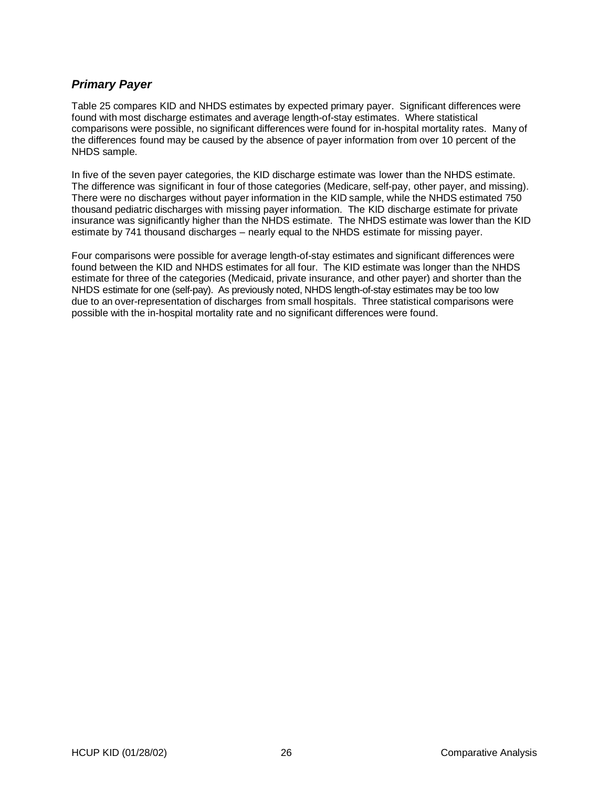## **Primary Payer**

Table 25 compares KID and NHDS estimates by expected primary payer. Significant differences were found with most discharge estimates and average length-of-stay estimates. Where statistical comparisons were possible, no significant differences were found for in-hospital mortality rates. Many of the differences found may be caused by the absence of payer information from over 10 percent of the NHDS sample.

In five of the seven payer categories, the KID discharge estimate was lower than the NHDS estimate. The difference was significant in four of those categories (Medicare, self-pay, other payer, and missing). There were no discharges without payer information in the KID sample, while the NHDS estimated 750 thousand pediatric discharges with missing payer information. The KID discharge estimate for private insurance was significantly higher than the NHDS estimate. The NHDS estimate was lower than the KID estimate by 741 thousand discharges – nearly equal to the NHDS estimate for missing payer.

Four comparisons were possible for average length-of-stay estimates and significant differences were found between the KID and NHDS estimates for all four. The KID estimate was longer than the NHDS estimate for three of the categories (Medicaid, private insurance, and other payer) and shorter than the NHDS estimate for one (self-pay). As previously noted, NHDS length-of-stay estimates may be too low due to an over-representation of discharges from small hospitals. Three statistical comparisons were possible with the in-hospital mortality rate and no significant differences were found.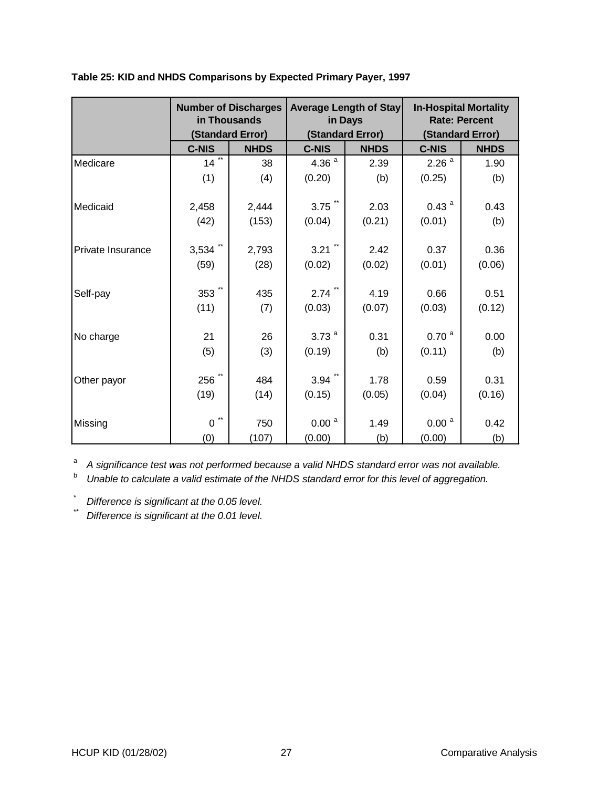|                   | <b>Number of Discharges</b><br>in Thousands<br>(Standard Error) |             |                             | <b>Average Length of Stay</b><br>in Days<br>(Standard Error) | <b>In-Hospital Mortality</b><br><b>Rate: Percent</b><br>(Standard Error) |             |  |
|-------------------|-----------------------------------------------------------------|-------------|-----------------------------|--------------------------------------------------------------|--------------------------------------------------------------------------|-------------|--|
|                   | <b>C-NIS</b>                                                    | <b>NHDS</b> | <b>C-NIS</b>                | <b>NHDS</b>                                                  | <b>C-NIS</b>                                                             | <b>NHDS</b> |  |
| Medicare          | $\star\star$<br>14                                              | 38          | 4.36 $a$                    | 2.39                                                         | 2.26 <sup>a</sup>                                                        | 1.90        |  |
|                   | (1)                                                             | (4)         | (0.20)                      | (b)                                                          | (0.25)                                                                   | (b)         |  |
| Medicaid          | 2,458                                                           | 2,444       | $3.75$ $\ddot{\phantom{1}}$ | 2.03                                                         | 0.43 <sup>a</sup>                                                        | 0.43        |  |
|                   | (42)                                                            | (153)       | (0.04)                      | (0.21)                                                       | (0.01)                                                                   | (b)         |  |
| Private Insurance | 3,534                                                           | 2,793       | 3.21                        | 2.42                                                         | 0.37                                                                     | 0.36        |  |
|                   | (59)                                                            | (28)        | (0.02)                      | (0.02)                                                       | (0.01)                                                                   | (0.06)      |  |
| Self-pay          | 353                                                             | 435         | $2.74$ **                   | 4.19                                                         | 0.66                                                                     | 0.51        |  |
|                   | (11)                                                            | (7)         | (0.03)                      | (0.07)                                                       | (0.03)                                                                   | (0.12)      |  |
| No charge         | 21                                                              | 26          | 3.73 $a$                    | 0.31                                                         | 0.70 <sup>a</sup>                                                        | 0.00        |  |
|                   | (5)                                                             | (3)         | (0.19)                      | (b)                                                          | (0.11)                                                                   | (b)         |  |
| Other payor       | 256                                                             | 484         | $3.94$ **                   | 1.78                                                         | 0.59                                                                     | 0.31        |  |
|                   | (19)                                                            | (14)        | (0.15)                      | (0.05)                                                       | (0.04)                                                                   | (0.16)      |  |
| Missing           | $\star\star$<br>0                                               | 750         | 0.00 <sup>a</sup>           | 1.49                                                         | 0.00 <sup>a</sup>                                                        | 0.42        |  |
|                   | (0)                                                             | (107)       | (0.00)                      | (b)                                                          | (0.00)                                                                   | (b)         |  |

**Table 25: KID and NHDS Comparisons by Expected Primary Payer, 1997**

<sup>a</sup> A significance test was not performed because a valid NHDS standard error was not available.

b Unable to calculate a valid estimate of the NHDS standard error for this level of aggregation.

 $\sum_{n=1}^{\infty}$  Difference is significant at the 0.05 level.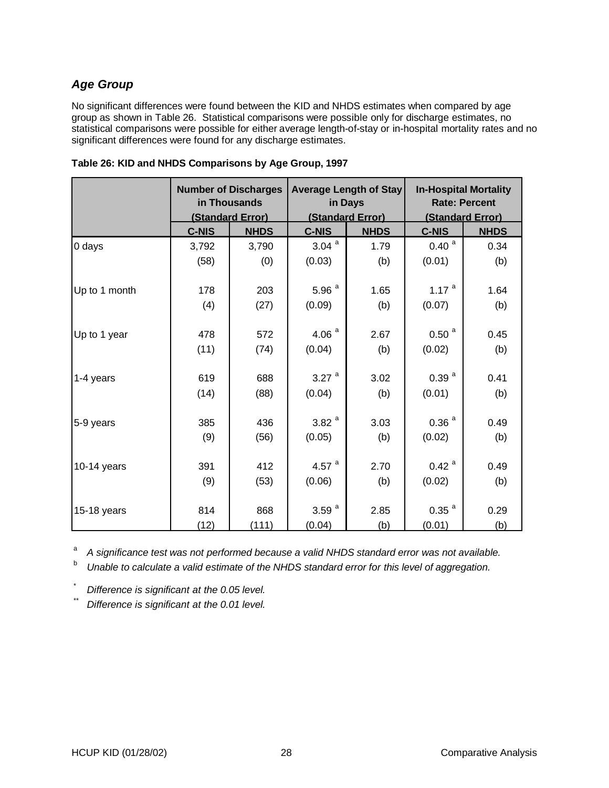## **Age Group**

No significant differences were found between the KID and NHDS estimates when compared by age group as shown in Table 26. Statistical comparisons were possible only for discharge estimates, no statistical comparisons were possible for either average length-of-stay or in-hospital mortality rates and no significant differences were found for any discharge estimates.

|               | <b>Number of Discharges</b><br>in Thousands<br>(Standard Error) |             | in Days           | <b>Average Length of Stay</b><br>(Standard Error) | <b>In-Hospital Mortality</b><br><b>Rate: Percent</b><br>(Standard Error) |             |  |
|---------------|-----------------------------------------------------------------|-------------|-------------------|---------------------------------------------------|--------------------------------------------------------------------------|-------------|--|
|               | C-NIS                                                           | <b>NHDS</b> | C-NIS             | <b>NHDS</b>                                       | <b>C-NIS</b>                                                             | <b>NHDS</b> |  |
| 0 days        | 3,792                                                           | 3,790       | 3.04 <sup>a</sup> | 1.79                                              | 0.40 <sup>a</sup>                                                        | 0.34        |  |
|               | (58)                                                            | (0)         | (0.03)            | (b)                                               | (0.01)                                                                   | (b)         |  |
| Up to 1 month | 178                                                             | 203         | 5.96 <sup>a</sup> | 1.65                                              | 1.17 $a$                                                                 | 1.64        |  |
|               | (4)                                                             | (27)        | (0.09)            | (b)                                               | (0.07)                                                                   | (b)         |  |
| Up to 1 year  | 478                                                             | 572         | 4.06 $^a$         | 2.67                                              | $0.50$ <sup>a</sup>                                                      | 0.45        |  |
|               | (11)                                                            | (74)        | (0.04)            | (b)                                               | (0.02)                                                                   | (b)         |  |
| 1-4 years     | 619                                                             | 688         | 3.27 $^{a}$       | 3.02                                              | 0.39 <sup>a</sup>                                                        | 0.41        |  |
|               | (14)                                                            | (88)        | (0.04)            | (b)                                               | (0.01)                                                                   | (b)         |  |
| 5-9 years     | 385                                                             | 436         | 3.82 <sup>a</sup> | 3.03                                              | 0.36 <sup>a</sup>                                                        | 0.49        |  |
|               | (9)                                                             | (56)        | (0.05)            | (b)                                               | (0.02)                                                                   | (b)         |  |
| $10-14$ years | 391                                                             | 412         | 4.57 $a$          | 2.70                                              | $0.42$ <sup>a</sup>                                                      | 0.49        |  |
|               | (9)                                                             | (53)        | (0.06)            | (b)                                               | (0.02)                                                                   | (b)         |  |
| 15-18 years   | 814                                                             | 868         | 3.59 $^{a}$       | 2.85                                              | $0.35$ <sup>a</sup>                                                      | 0.29        |  |
|               | (12)                                                            | (111)       | (0.04)            | (b)                                               | (0.01)                                                                   | (b)         |  |

| Table 26: KID and NHDS Comparisons by Age Group, 1997 |  |  |  |  |
|-------------------------------------------------------|--|--|--|--|
|-------------------------------------------------------|--|--|--|--|

<sup>a</sup> A significance test was not performed because a valid NHDS standard error was not available.

b Unable to calculate a valid estimate of the NHDS standard error for this level of aggregation.

Difference is significant at the 0.05 level.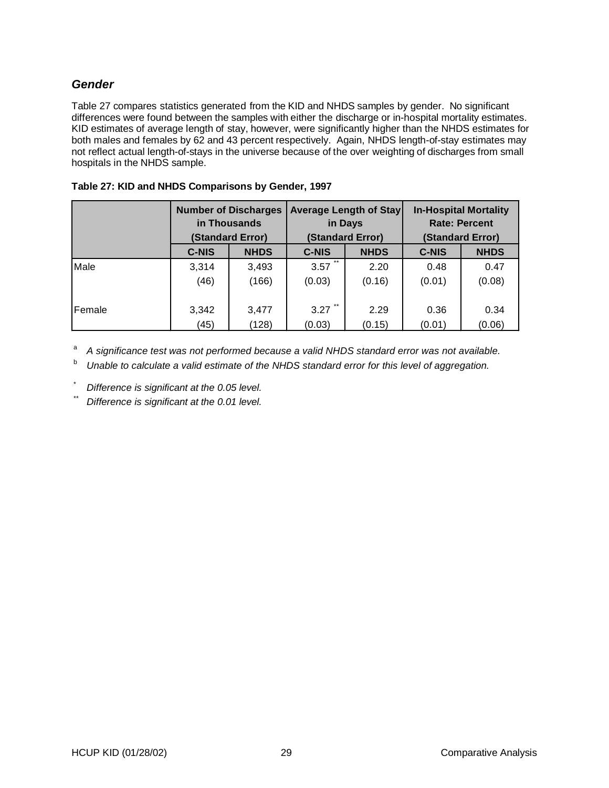## **Gender**

Table 27 compares statistics generated from the KID and NHDS samples by gender. No significant differences were found between the samples with either the discharge or in-hospital mortality estimates. KID estimates of average length of stay, however, were significantly higher than the NHDS estimates for both males and females by 62 and 43 percent respectively. Again, NHDS length-of-stay estimates may not reflect actual length-of-stays in the universe because of the over weighting of discharges from small hospitals in the NHDS sample.

|        | <b>Number of Discharges</b><br>in Thousands<br>(Standard Error) |             |               | <b>Average Length of Stay</b><br>in Days<br>(Standard Error) | <b>In-Hospital Mortality</b><br><b>Rate: Percent</b><br>(Standard Error) |             |  |
|--------|-----------------------------------------------------------------|-------------|---------------|--------------------------------------------------------------|--------------------------------------------------------------------------|-------------|--|
|        | <b>C-NIS</b>                                                    | <b>NHDS</b> | <b>C-NIS</b>  | <b>NHDS</b>                                                  | <b>C-NIS</b>                                                             | <b>NHDS</b> |  |
| Male   | 3,314                                                           | 3,493       | $***$<br>3.57 | 2.20                                                         | 0.48                                                                     | 0.47        |  |
|        | (46)                                                            | (166)       | (0.03)        | (0.16)                                                       | (0.01)                                                                   | (0.08)      |  |
| Female | 3,342                                                           | 3,477       | 3.27          | 2.29                                                         | 0.36                                                                     | 0.34        |  |
|        | (45)                                                            | (128)       | (0.03)        | (0.15)                                                       | (0.01)                                                                   | (0.06)      |  |

#### **Table 27: KID and NHDS Comparisons by Gender, 1997**

<sup>a</sup> A significance test was not performed because a valid NHDS standard error was not available.

<sup>b</sup> Unable to calculate a valid estimate of the NHDS standard error for this level of aggregation.

Difference is significant at the 0.05 level.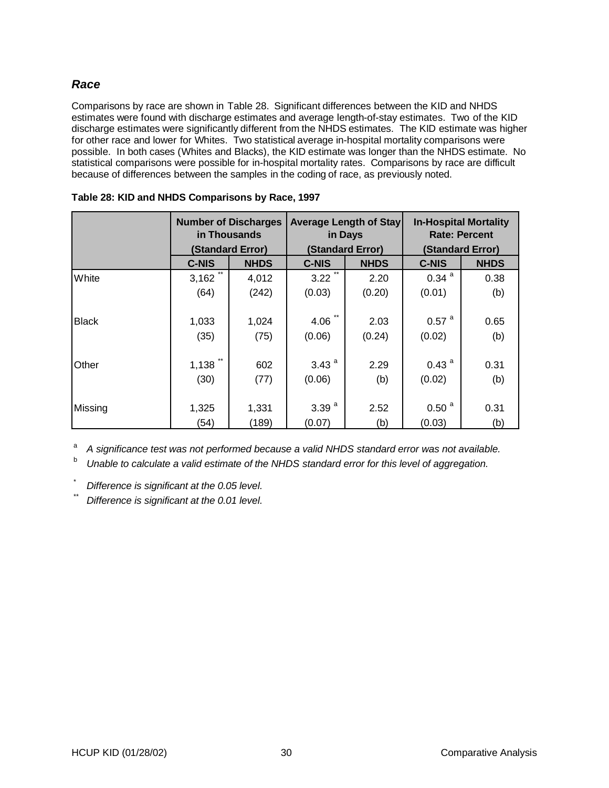## **Race**

Comparisons by race are shown in Table 28. Significant differences between the KID and NHDS estimates were found with discharge estimates and average length-of-stay estimates. Two of the KID discharge estimates were significantly different from the NHDS estimates. The KID estimate was higher for other race and lower for Whites. Two statistical average in-hospital mortality comparisons were possible. In both cases (Whites and Blacks), the KID estimate was longer than the NHDS estimate. No statistical comparisons were possible for in-hospital mortality rates. Comparisons by race are difficult because of differences between the samples in the coding of race, as previously noted.

|              | <b>Number of Discharges</b><br>in Thousands<br>(Standard Error) |             |                   | <b>Average Length of Stay</b><br>in Days<br>(Standard Error) | <b>In-Hospital Mortality</b><br><b>Rate: Percent</b><br>(Standard Error) |      |  |
|--------------|-----------------------------------------------------------------|-------------|-------------------|--------------------------------------------------------------|--------------------------------------------------------------------------|------|--|
|              | <b>C-NIS</b>                                                    | <b>NHDS</b> | <b>C-NIS</b>      | <b>NHDS</b>                                                  | <b>C-NIS</b><br><b>NHDS</b>                                              |      |  |
| White        | $***$<br>3,162                                                  | 4,012       | $***$<br>3.22     | 2.20                                                         | $0.34$ <sup>a</sup>                                                      | 0.38 |  |
|              | (64)                                                            | (242)       | (0.03)            | (0.20)                                                       | (0.01)                                                                   | (b)  |  |
|              |                                                                 |             |                   |                                                              |                                                                          |      |  |
| <b>Black</b> | 1,033                                                           | 1,024       | 4.06              | 2.03                                                         | $0.57$ <sup>a</sup>                                                      | 0.65 |  |
|              | (35)                                                            | (75)        | (0.06)            | (0.24)                                                       | (0.02)                                                                   | (b)  |  |
|              |                                                                 |             |                   |                                                              |                                                                          |      |  |
| Other        | 1,138                                                           | 602         | 3.43 <sup>a</sup> | 2.29                                                         | 0.43 <sup>a</sup>                                                        | 0.31 |  |
|              | (30)                                                            | (77)        | (0.06)            | (b)                                                          | (0.02)                                                                   | (b)  |  |
|              |                                                                 |             |                   |                                                              |                                                                          |      |  |
| Missing      | 1,325                                                           | 1,331       | 3.39 <sup>a</sup> | 2.52                                                         | 0.50 <sup>a</sup>                                                        | 0.31 |  |
|              | (54)                                                            | (189)       | (0.07)            | (b)                                                          | (0.03)                                                                   | (b)  |  |

| Table 28: KID and NHDS Comparisons by Race, 1997 |  |  |  |
|--------------------------------------------------|--|--|--|
|--------------------------------------------------|--|--|--|

<sup>a</sup> A significance test was not performed because a valid NHDS standard error was not available.

 $b$  Unable to calculate a valid estimate of the NHDS standard error for this level of aggregation.

Difference is significant at the 0.05 level.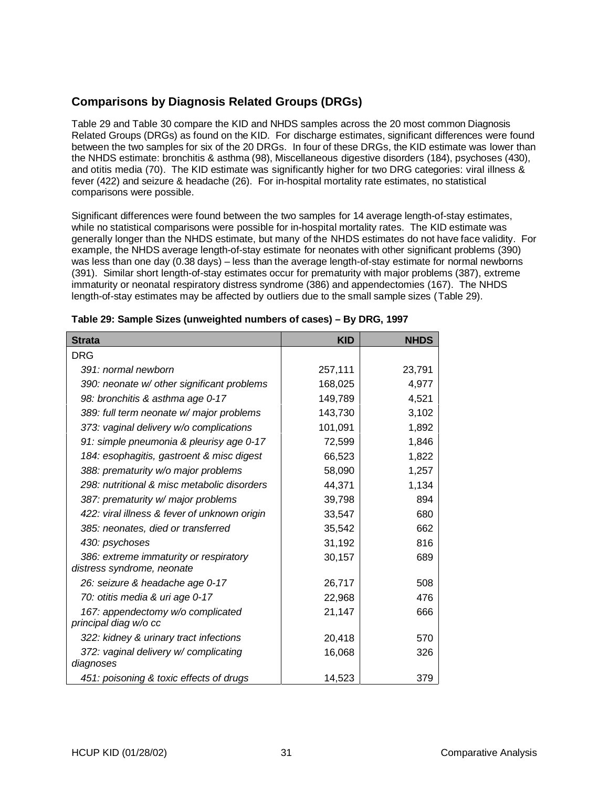## **Comparisons by Diagnosis Related Groups (DRGs)**

Table 29 and Table 30 compare the KID and NHDS samples across the 20 most common Diagnosis Related Groups (DRGs) as found on the KID. For discharge estimates, significant differences were found between the two samples for six of the 20 DRGs. In four of these DRGs, the KID estimate was lower than the NHDS estimate: bronchitis & asthma (98), Miscellaneous digestive disorders (184), psychoses (430), and otitis media (70). The KID estimate was significantly higher for two DRG categories: viral illness & fever (422) and seizure & headache (26). For in-hospital mortality rate estimates, no statistical comparisons were possible.

Significant differences were found between the two samples for 14 average length-of-stay estimates, while no statistical comparisons were possible for in-hospital mortality rates. The KID estimate was generally longer than the NHDS estimate, but many of the NHDS estimates do not have face validity. For example, the NHDS average length-of-stay estimate for neonates with other significant problems (390) was less than one day (0.38 days) – less than the average length-of-stay estimate for normal newborns (391). Similar short length-of-stay estimates occur for prematurity with major problems (387), extreme immaturity or neonatal respiratory distress syndrome (386) and appendectomies (167). The NHDS length-of-stay estimates may be affected by outliers due to the small sample sizes (Table 29).

| <b>Strata</b>                                                        | <b>KID</b> | <b>NHDS</b> |
|----------------------------------------------------------------------|------------|-------------|
| <b>DRG</b>                                                           |            |             |
| 391: normal newborn                                                  | 257,111    | 23,791      |
| 390: neonate w/ other significant problems                           | 168,025    | 4,977       |
| 98: bronchitis & asthma age 0-17                                     | 149,789    | 4,521       |
| 389: full term neonate w/ major problems                             | 143,730    | 3,102       |
| 373: vaginal delivery w/o complications                              | 101,091    | 1,892       |
| 91: simple pneumonia & pleurisy age 0-17                             | 72,599     | 1,846       |
| 184: esophagitis, gastroent & misc digest                            | 66,523     | 1,822       |
| 388: prematurity w/o major problems                                  | 58,090     | 1,257       |
| 298: nutritional & misc metabolic disorders                          | 44,371     | 1,134       |
| 387: prematurity w/ major problems                                   | 39,798     | 894         |
| 422: viral illness & fever of unknown origin                         | 33,547     | 680         |
| 385: neonates, died or transferred                                   | 35,542     | 662         |
| 430: psychoses                                                       | 31,192     | 816         |
| 386: extreme immaturity or respiratory<br>distress syndrome, neonate | 30,157     | 689         |
| 26: seizure & headache age 0-17                                      | 26,717     | 508         |
| 70: otitis media & uri age 0-17                                      | 22,968     | 476         |
| 167: appendectomy w/o complicated<br>principal diag w/o cc           | 21,147     | 666         |
| 322: kidney & urinary tract infections                               | 20,418     | 570         |
| 372: vaginal delivery w/complicating<br>diagnoses                    | 16,068     | 326         |
| 451: poisoning & toxic effects of drugs                              | 14,523     | 379         |

#### **Table 29: Sample Sizes (unweighted numbers of cases) – By DRG, 1997**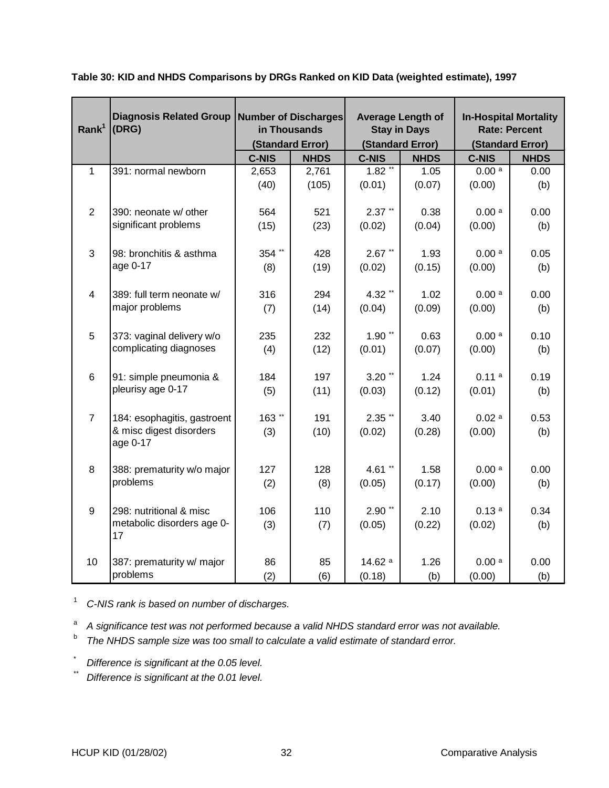| Rank <sup>1</sup>       | <b>Diagnosis Related Group</b><br>(DRG) | Number of Discharges<br>in Thousands<br>(Standard Error) |             | <b>Average Length of</b><br><b>Stay in Days</b><br>(Standard Error) |             | <b>In-Hospital Mortality</b><br><b>Rate: Percent</b><br>(Standard Error) |             |
|-------------------------|-----------------------------------------|----------------------------------------------------------|-------------|---------------------------------------------------------------------|-------------|--------------------------------------------------------------------------|-------------|
|                         |                                         | <b>C-NIS</b>                                             | <b>NHDS</b> | <b>C-NIS</b>                                                        | <b>NHDS</b> | <b>C-NIS</b>                                                             | <b>NHDS</b> |
| $\mathbf{1}$            | 391: normal newborn                     | 2,653                                                    | 2,761       | $1.82$ <sup>**</sup>                                                | 1.05        | 0.00 <sup>a</sup>                                                        | 0.00        |
|                         |                                         | (40)                                                     | (105)       | (0.01)                                                              | (0.07)      | (0.00)                                                                   | (b)         |
| $\overline{2}$          | 390: neonate w/ other                   | 564                                                      | 521         | $2.37$ **                                                           | 0.38        | 0.00 <sup>a</sup>                                                        | 0.00        |
|                         | significant problems                    | (15)                                                     | (23)        | (0.02)                                                              | (0.04)      | (0.00)                                                                   | (b)         |
| 3                       | 98: bronchitis & asthma                 | 354 **                                                   | 428         | $2.67$ **                                                           | 1.93        | 0.00 <sup>a</sup>                                                        | 0.05        |
|                         | age 0-17                                | (8)                                                      | (19)        | (0.02)                                                              | (0.15)      | (0.00)                                                                   | (b)         |
| $\overline{\mathbf{4}}$ | 389: full term neonate w/               | 316                                                      | 294         | 4.32**                                                              | 1.02        | 0.00 <sup>a</sup>                                                        | 0.00        |
|                         | major problems                          | (7)                                                      | (14)        | (0.04)                                                              | (0.09)      | (0.00)                                                                   | (b)         |
| 5                       | 373: vaginal delivery w/o               | 235                                                      | 232         | $1.90**$                                                            | 0.63        | 0.00a                                                                    | 0.10        |
|                         | complicating diagnoses                  | (4)                                                      | (12)        | (0.01)                                                              | (0.07)      | (0.00)                                                                   | (b)         |
| 6                       | 91: simple pneumonia &                  | 184                                                      | 197         | $3.20$ **                                                           | 1.24        | 0.11 <sup>a</sup>                                                        | 0.19        |
|                         | pleurisy age 0-17                       | (5)                                                      | (11)        | (0.03)                                                              | (0.12)      | (0.01)                                                                   | (b)         |
| $\overline{7}$          | 184: esophagitis, gastroent             | 163**                                                    | 191         | $2.35$ **                                                           | 3.40        | 0.02a                                                                    | 0.53        |
|                         | & misc digest disorders<br>age 0-17     | (3)                                                      | (10)        | (0.02)                                                              | (0.28)      | (0.00)                                                                   | (b)         |
|                         |                                         |                                                          |             |                                                                     |             |                                                                          |             |
| 8                       | 388: prematurity w/o major              | 127                                                      | 128         | 4.61 $*$                                                            | 1.58        | 0.00 <sup>a</sup>                                                        | 0.00        |
|                         | problems                                | (2)                                                      | (8)         | (0.05)                                                              | (0.17)      | (0.00)                                                                   | (b)         |
| 9                       | 298: nutritional & misc                 | 106                                                      | 110         | $2.90$ **                                                           | 2.10        | 0.13a                                                                    | 0.34        |
|                         | metabolic disorders age 0-<br>17        | (3)                                                      | (7)         | (0.05)                                                              | (0.22)      | (0.02)                                                                   | (b)         |
|                         |                                         |                                                          |             |                                                                     |             |                                                                          |             |
| 10                      | 387: prematurity w/ major               | 86                                                       | 85          | 14.62 a                                                             | 1.26        | 0.00a                                                                    | 0.00        |
|                         | problems                                | (2)                                                      | (6)         | (0.18)                                                              | (b)         | (0.00)                                                                   | (b)         |

**Table 30: KID and NHDS Comparisons by DRGs Ranked on KID Data (weighted estimate), 1997**

<sup>1</sup> C-NIS rank is based on number of discharges.

<sup>a</sup> A significance test was not performed because a valid NHDS standard error was not available.

- <sup>b</sup> The NHDS sample size was too small to calculate a valid estimate of standard error.
- Difference is significant at the 0.05 level.
- Difference is significant at the 0.01 level.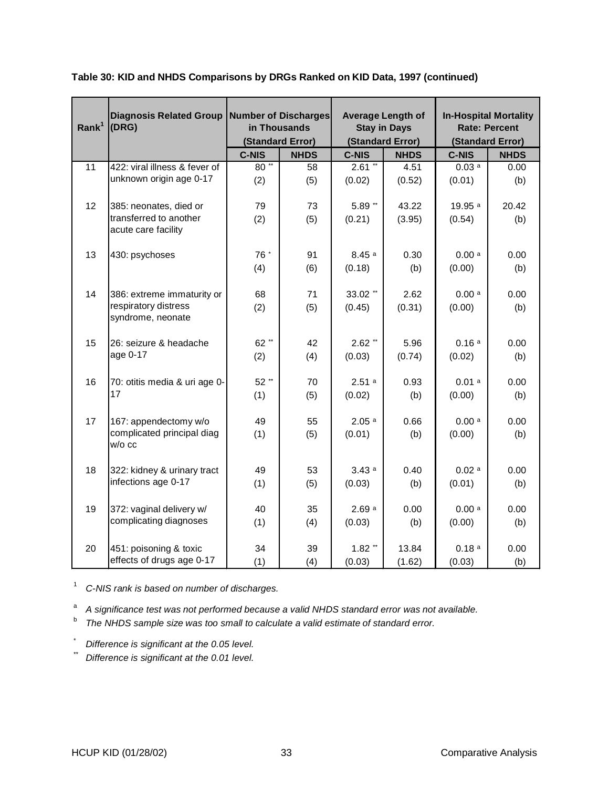| Rank <sup>1</sup> | <b>Diagnosis Related Group</b><br>(DRG)       | <b>Number of Discharges</b><br>in Thousands<br>(Standard Error) |             | <b>Average Length of</b><br><b>Stay in Days</b><br>(Standard Error) |             | <b>In-Hospital Mortality</b><br><b>Rate: Percent</b><br>(Standard Error) |             |
|-------------------|-----------------------------------------------|-----------------------------------------------------------------|-------------|---------------------------------------------------------------------|-------------|--------------------------------------------------------------------------|-------------|
|                   |                                               | <b>C-NIS</b>                                                    | <b>NHDS</b> | <b>C-NIS</b>                                                        | <b>NHDS</b> | <b>C-NIS</b>                                                             | <b>NHDS</b> |
| $\overline{11}$   | 422: viral illness & fever of                 | $80**$                                                          | 58          | $2.61$ **                                                           | 4.51        | 0.03a                                                                    | 0.00        |
|                   | unknown origin age 0-17                       | (2)                                                             | (5)         | (0.02)                                                              | (0.52)      | (0.01)                                                                   | (b)         |
| 12                | 385: neonates, died or                        | 79                                                              | 73          | $5.89$ **                                                           | 43.22       | 19.95 a                                                                  | 20.42       |
|                   | transferred to another<br>acute care facility | (2)                                                             | (5)         | (0.21)                                                              | (3.95)      | (0.54)                                                                   | (b)         |
| 13                | 430: psychoses                                | 76 *                                                            | 91          | 8.45a                                                               | 0.30        | 0.00 <sup>a</sup>                                                        | 0.00        |
|                   |                                               | (4)                                                             | (6)         | (0.18)                                                              | (b)         | (0.00)                                                                   | (b)         |
|                   |                                               |                                                                 |             |                                                                     |             |                                                                          |             |
| 14                | 386: extreme immaturity or                    | 68                                                              | 71          | 33.02 **                                                            | 2.62        | 0.00a                                                                    | 0.00        |
|                   | respiratory distress<br>syndrome, neonate     | (2)                                                             | (5)         | (0.45)                                                              | (0.31)      | (0.00)                                                                   | (b)         |
| 15                | 26: seizure & headache                        | 62**                                                            | 42          | $2.62$ **                                                           | 5.96        | 0.16a                                                                    | 0.00        |
|                   | age 0-17                                      | (2)                                                             | (4)         | (0.03)                                                              | (0.74)      | (0.02)                                                                   | (b)         |
|                   |                                               |                                                                 |             |                                                                     |             |                                                                          |             |
| 16                | 70: otitis media & uri age 0-                 | 52**                                                            | 70          | 2.51a                                                               | 0.93        | 0.01a                                                                    | 0.00        |
|                   | 17                                            | (1)                                                             | (5)         | (0.02)                                                              | (b)         | (0.00)                                                                   | (b)         |
|                   |                                               |                                                                 |             |                                                                     |             |                                                                          |             |
| 17                | 167: appendectomy w/o                         | 49                                                              | 55          | 2.05a                                                               | 0.66        | 0.00a                                                                    | 0.00        |
|                   | complicated principal diag<br>w/o cc          | (1)                                                             | (5)         | (0.01)                                                              | (b)         | (0.00)                                                                   | (b)         |
|                   |                                               |                                                                 |             |                                                                     |             |                                                                          |             |
| 18                | 322: kidney & urinary tract                   | 49                                                              | 53          | 3.43a                                                               | 0.40        | 0.02a                                                                    | 0.00        |
|                   | infections age 0-17                           | (1)                                                             | (5)         | (0.03)                                                              | (b)         | (0.01)                                                                   | (b)         |
| 19                | 372: vaginal delivery w/                      | 40                                                              | 35          | 2.69a                                                               | 0.00        | 0.00a                                                                    | 0.00        |
|                   | complicating diagnoses                        | (1)                                                             | (4)         | (0.03)                                                              | (b)         | (0.00)                                                                   | (b)         |
| 20                | 451: poisoning & toxic                        | 34                                                              | 39          | $1.82$ **                                                           | 13.84       | 0.18 <sup>a</sup>                                                        | 0.00        |
|                   | effects of drugs age 0-17                     | (1)                                                             | (4)         | (0.03)                                                              | (1.62)      | (0.03)                                                                   | (b)         |
|                   |                                               |                                                                 |             |                                                                     |             |                                                                          |             |

#### **Table 30: KID and NHDS Comparisons by DRGs Ranked on KID Data, 1997 (continued)**

<sup>1</sup> C-NIS rank is based on number of discharges.

<sup>a</sup> A significance test was not performed because a valid NHDS standard error was not available.

<sup>b</sup> The NHDS sample size was too small to calculate a valid estimate of standard error.

 $\sum_{i=1}^{n}$  Difference is significant at the 0.05 level.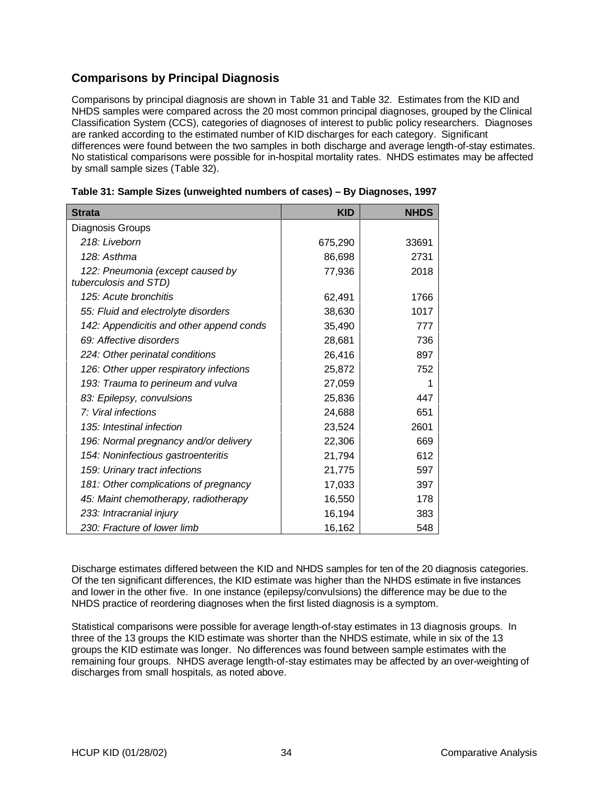## **Comparisons by Principal Diagnosis**

Comparisons by principal diagnosis are shown in Table 31 and Table 32. Estimates from the KID and NHDS samples were compared across the 20 most common principal diagnoses, grouped by the Clinical Classification System (CCS), categories of diagnoses of interest to public policy researchers. Diagnoses are ranked according to the estimated number of KID discharges for each category. Significant differences were found between the two samples in both discharge and average length-of-stay estimates. No statistical comparisons were possible for in-hospital mortality rates. NHDS estimates may be affected by small sample sizes (Table 32).

| <b>Strata</b>                                             | <b>KID</b> | <b>NHDS</b> |
|-----------------------------------------------------------|------------|-------------|
| Diagnosis Groups                                          |            |             |
| 218: Liveborn                                             | 675,290    | 33691       |
| 128: Asthma                                               | 86,698     | 2731        |
| 122: Pneumonia (except caused by<br>tuberculosis and STD) | 77,936     | 2018        |
| 125: Acute bronchitis                                     | 62,491     | 1766        |
| 55: Fluid and electrolyte disorders                       | 38,630     | 1017        |
| 142: Appendicitis and other append conds                  | 35,490     | 777         |
| 69: Affective disorders                                   | 28,681     | 736         |
| 224: Other perinatal conditions                           | 26,416     | 897         |
| 126: Other upper respiratory infections                   | 25,872     | 752         |
| 193: Trauma to perineum and vulva                         | 27,059     | 1           |
| 83: Epilepsy, convulsions                                 | 25,836     | 447         |
| 7: Viral infections                                       | 24,688     | 651         |
| 135: Intestinal infection                                 | 23,524     | 2601        |
| 196: Normal pregnancy and/or delivery                     | 22,306     | 669         |
| 154: Noninfectious gastroenteritis                        | 21,794     | 612         |
| 159: Urinary tract infections                             | 21,775     | 597         |
| 181: Other complications of pregnancy                     | 17,033     | 397         |
| 45: Maint chemotherapy, radiotherapy                      | 16,550     | 178         |
| 233: Intracranial injury                                  | 16,194     | 383         |
| 230: Fracture of lower limb                               | 16,162     | 548         |

Discharge estimates differed between the KID and NHDS samples for ten of the 20 diagnosis categories. Of the ten significant differences, the KID estimate was higher than the NHDS estimate in five instances and lower in the other five. In one instance (epilepsy/convulsions) the difference may be due to the NHDS practice of reordering diagnoses when the first listed diagnosis is a symptom.

Statistical comparisons were possible for average length-of-stay estimates in 13 diagnosis groups. In three of the 13 groups the KID estimate was shorter than the NHDS estimate, while in six of the 13 groups the KID estimate was longer. No differences was found between sample estimates with the remaining four groups. NHDS average length-of-stay estimates may be affected by an over-weighting of discharges from small hospitals, as noted above.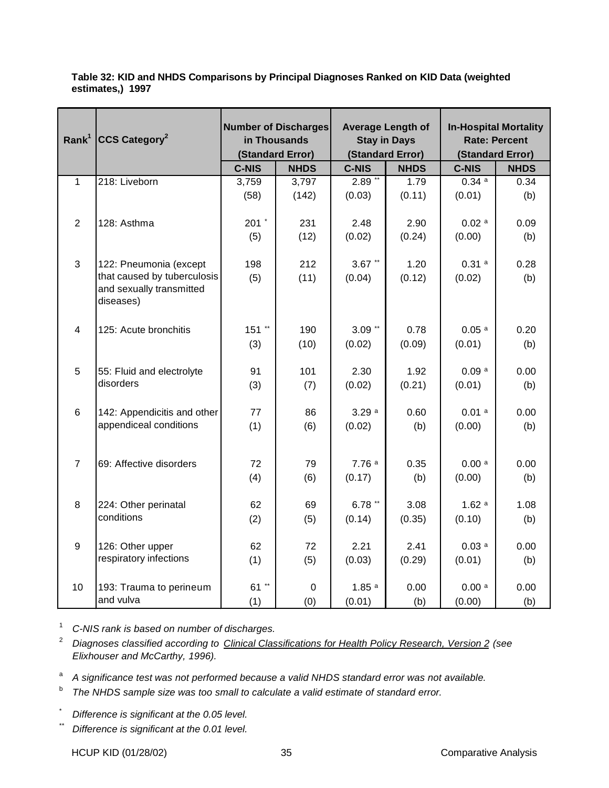**Table 32: KID and NHDS Comparisons by Principal Diagnoses Ranked on KID Data (weighted estimates,) 1997**

| Rank <sup>1</sup> | CCS Category <sup>2</sup>              | <b>Number of Discharges</b><br>in Thousands<br>(Standard Error) |             | <b>Average Length of</b><br><b>Stay in Days</b><br>(Standard Error) |             | <b>In-Hospital Mortality</b><br><b>Rate: Percent</b><br>(Standard Error) |             |
|-------------------|----------------------------------------|-----------------------------------------------------------------|-------------|---------------------------------------------------------------------|-------------|--------------------------------------------------------------------------|-------------|
|                   |                                        | <b>C-NIS</b>                                                    | <b>NHDS</b> | <b>C-NIS</b>                                                        | <b>NHDS</b> | <b>C-NIS</b>                                                             | <b>NHDS</b> |
| $\mathbf{1}$      | 218: Liveborn                          | 3,759                                                           | 3,797       | $2.89**$                                                            | 1.79        | 0.34a                                                                    | 0.34        |
|                   |                                        | (58)                                                            | (142)       | (0.03)                                                              | (0.11)      | (0.01)                                                                   | (b)         |
| $\overline{2}$    | 128: Asthma                            | 201 $\degree$                                                   | 231         | 2.48                                                                | 2.90        | $0.02$ <sup>a</sup>                                                      | 0.09        |
|                   |                                        | (5)                                                             | (12)        | (0.02)                                                              | (0.24)      | (0.00)                                                                   | (b)         |
|                   |                                        |                                                                 |             |                                                                     |             |                                                                          |             |
| 3                 | 122: Pneumonia (except                 | 198                                                             | 212         | $3.67$ **                                                           | 1.20        | 0.31a                                                                    | 0.28        |
|                   | that caused by tuberculosis            | (5)                                                             | (11)        | (0.04)                                                              | (0.12)      | (0.02)                                                                   | (b)         |
|                   | and sexually transmitted<br>diseases)  |                                                                 |             |                                                                     |             |                                                                          |             |
| $\overline{4}$    | 125: Acute bronchitis                  | $151$ **                                                        | 190         | $3.09$ **                                                           | 0.78        | 0.05 <sup>a</sup>                                                        | 0.20        |
|                   |                                        |                                                                 |             |                                                                     |             |                                                                          |             |
|                   |                                        | (3)                                                             | (10)        | (0.02)                                                              | (0.09)      | (0.01)                                                                   | (b)         |
| $\overline{5}$    |                                        | 91                                                              | 101         | 2.30                                                                | 1.92        | 0.09a                                                                    | 0.00        |
|                   | 55: Fluid and electrolyte<br>disorders |                                                                 |             |                                                                     |             |                                                                          |             |
|                   |                                        | (3)                                                             | (7)         | (0.02)                                                              | (0.21)      | (0.01)                                                                   | (b)         |
| 6                 | 142: Appendicitis and other            | 77                                                              | 86          | 3.29a                                                               | 0.60        | 0.01a                                                                    | 0.00        |
|                   | appendiceal conditions                 | (1)                                                             | (6)         | (0.02)                                                              | (b)         | (0.00)                                                                   | (b)         |
|                   |                                        |                                                                 |             |                                                                     |             |                                                                          |             |
|                   |                                        |                                                                 |             |                                                                     |             |                                                                          |             |
| $\overline{7}$    | 69: Affective disorders                | 72                                                              | 79          | 7.76a                                                               | 0.35        | 0.00 <sup>a</sup>                                                        | 0.00        |
|                   |                                        | (4)                                                             | (6)         | (0.17)                                                              | (b)         | (0.00)                                                                   | (b)         |
|                   |                                        |                                                                 |             |                                                                     |             |                                                                          |             |
| 8                 | 224: Other perinatal                   | 62                                                              | 69          | $6.78**$                                                            | 3.08        | 1.62a                                                                    | 1.08        |
|                   | conditions                             | (2)                                                             | (5)         | (0.14)                                                              | (0.35)      | (0.10)                                                                   | (b)         |
|                   |                                        |                                                                 |             |                                                                     |             |                                                                          |             |
| $\boldsymbol{9}$  | 126: Other upper                       | 62                                                              | 72          | 2.21                                                                | 2.41        | 0.03a                                                                    | 0.00        |
|                   | respiratory infections                 | (1)                                                             | (5)         | (0.03)                                                              | (0.29)      | (0.01)                                                                   | (b)         |
|                   |                                        |                                                                 |             |                                                                     |             |                                                                          |             |
| 10                | 193: Trauma to perineum                | 61 **                                                           | $\mathbf 0$ | 1.85 <sup>a</sup>                                                   | 0.00        | 0.00a                                                                    | 0.00        |
|                   | and vulva                              | (1)                                                             | (0)         | (0.01)                                                              | (b)         | (0.00)                                                                   | (b)         |

<sup>1</sup> C-NIS rank is based on number of discharges.

<sup>2</sup> Diagnoses classified according to Clinical Classifications for Health Policy Research, Version 2 (see Elixhouser and McCarthy, 1996).

<sup>a</sup> A significance test was not performed because a valid NHDS standard error was not available.

 $b$  The NHDS sample size was too small to calculate a valid estimate of standard error.

\* Difference is significant at the 0.05 level.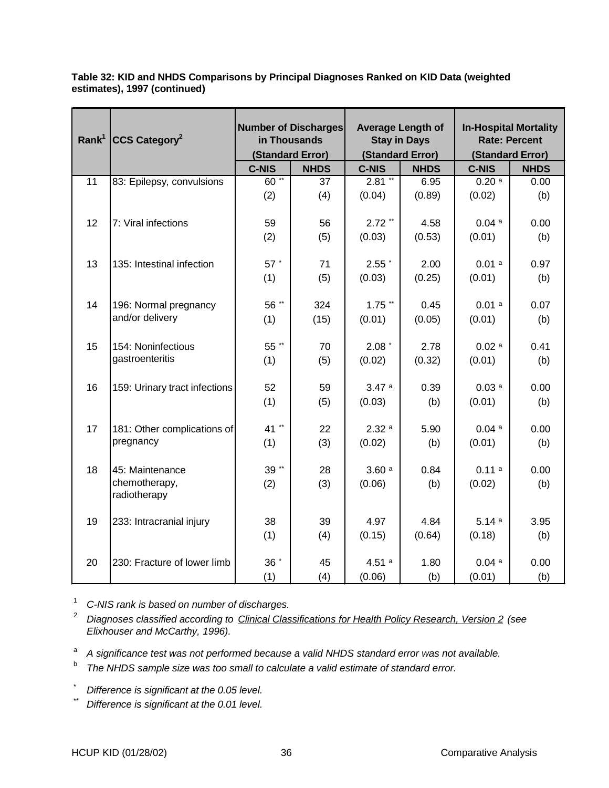| Rank <sup>1</sup> | $ CCS$ Category <sup>2</sup>             | <b>Number of Discharges</b><br>in Thousands<br>(Standard Error) |             | <b>Average Length of</b><br><b>Stay in Days</b><br>(Standard Error) |             | <b>In-Hospital Mortality</b><br><b>Rate: Percent</b> |             |
|-------------------|------------------------------------------|-----------------------------------------------------------------|-------------|---------------------------------------------------------------------|-------------|------------------------------------------------------|-------------|
|                   |                                          |                                                                 |             |                                                                     |             | (Standard Error)                                     |             |
|                   |                                          | <b>C-NIS</b>                                                    | <b>NHDS</b> | <b>C-NIS</b>                                                        | <b>NHDS</b> | <b>C-NIS</b>                                         | <b>NHDS</b> |
| 11                | 83: Epilepsy, convulsions                | $60^{**}$                                                       | 37          | $2.81$ **                                                           | 6.95        | 0.20a                                                | 0.00        |
|                   |                                          | (2)                                                             | (4)         | (0.04)                                                              | (0.89)      | (0.02)                                               | (b)         |
|                   |                                          |                                                                 |             | $2.72$ **                                                           |             |                                                      |             |
| 12                | 7: Viral infections                      | 59                                                              | 56          |                                                                     | 4.58        | 0.04a                                                | 0.00        |
|                   |                                          | (2)                                                             | (5)         | (0.03)                                                              | (0.53)      | (0.01)                                               | (b)         |
| 13                | 135: Intestinal infection                | 57 *                                                            | 71          | 2.55                                                                | 2.00        | 0.01a                                                | 0.97        |
|                   |                                          | (1)                                                             | (5)         | (0.03)                                                              | (0.25)      | (0.01)                                               | (b)         |
| 14                |                                          | 56 **                                                           | 324         | $1.75$ **                                                           | 0.45        | 0.01a                                                | 0.07        |
|                   | 196: Normal pregnancy<br>and/or delivery |                                                                 |             |                                                                     |             |                                                      |             |
|                   |                                          | (1)                                                             | (15)        | (0.01)                                                              | (0.05)      | (0.01)                                               | (b)         |
| 15                | 154: Noninfectious                       | 55 **                                                           | 70          | $2.08*$                                                             | 2.78        | 0.02a                                                | 0.41        |
|                   | gastroenteritis                          | (1)                                                             | (5)         | (0.02)                                                              | (0.32)      | (0.01)                                               | (b)         |
|                   |                                          |                                                                 |             | 3.47a                                                               |             |                                                      |             |
| 16                | 159: Urinary tract infections            | 52                                                              | 59          |                                                                     | 0.39        | 0.03 <sup>a</sup>                                    | 0.00        |
|                   |                                          | (1)                                                             | (5)         | (0.03)                                                              | (b)         | (0.01)                                               | (b)         |
| 17                | 181: Other complications of              | 41**                                                            | 22          | 2.32a                                                               | 5.90        | 0.04a                                                | 0.00        |
|                   | pregnancy                                | (1)                                                             | (3)         | (0.02)                                                              | (b)         | (0.01)                                               | (b)         |
|                   |                                          |                                                                 |             |                                                                     |             |                                                      |             |
| 18                | 45: Maintenance                          | $39$ **                                                         | 28          | 3.60a                                                               | 0.84        | 0.11a                                                | 0.00        |
|                   | chemotherapy,<br>radiotherapy            | (2)                                                             | (3)         | (0.06)                                                              | (b)         | (0.02)                                               | (b)         |
|                   |                                          |                                                                 |             |                                                                     |             |                                                      |             |
| 19                | 233: Intracranial injury                 | 38                                                              | 39          | 4.97                                                                | 4.84        | 5.14a                                                | 3.95        |
|                   |                                          | (1)                                                             | (4)         | (0.15)                                                              | (0.64)      | (0.18)                                               | (b)         |
| 20                | 230: Fracture of lower limb              | 36 *                                                            | 45          | 4.51a                                                               | 1.80        | 0.04a                                                | 0.00        |
|                   |                                          | (1)                                                             | (4)         | (0.06)                                                              | (b)         | (0.01)                                               | (b)         |

**Table 32: KID and NHDS Comparisons by Principal Diagnoses Ranked on KID Data (weighted estimates), 1997 (continued)**

<sup>1</sup> C-NIS rank is based on number of discharges.

 $^2$  Diagnoses classified according to Clinical Classifications for Health Policy Research, Version 2 (see Elixhouser and McCarthy, 1996).

<sup>a</sup> A significance test was not performed because a valid NHDS standard error was not available.

 $b$  The NHDS sample size was too small to calculate a valid estimate of standard error.

Difference is significant at the 0.05 level.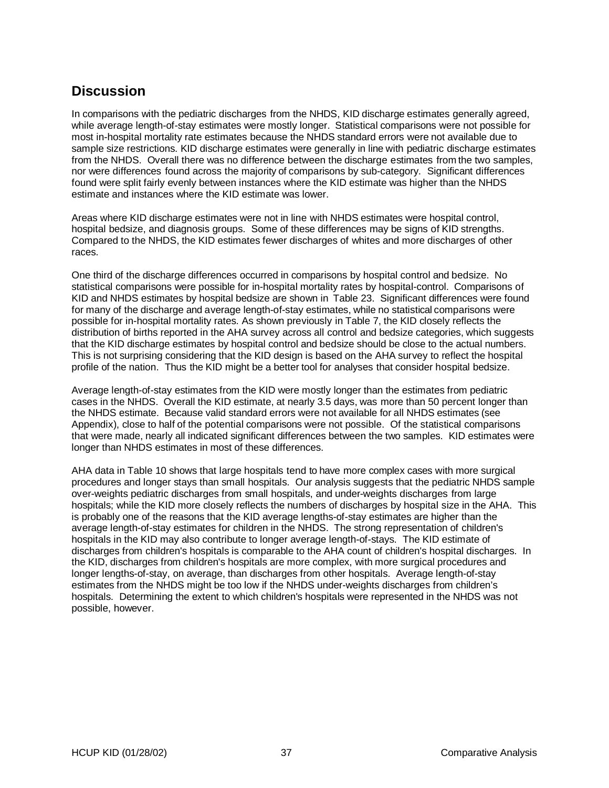## **Discussion**

In comparisons with the pediatric discharges from the NHDS, KID discharge estimates generally agreed, while average length-of-stay estimates were mostly longer. Statistical comparisons were not possible for most in-hospital mortality rate estimates because the NHDS standard errors were not available due to sample size restrictions. KID discharge estimates were generally in line with pediatric discharge estimates from the NHDS. Overall there was no difference between the discharge estimates from the two samples, nor were differences found across the majority of comparisons by sub-category. Significant differences found were split fairly evenly between instances where the KID estimate was higher than the NHDS estimate and instances where the KID estimate was lower.

Areas where KID discharge estimates were not in line with NHDS estimates were hospital control, hospital bedsize, and diagnosis groups. Some of these differences may be signs of KID strengths. Compared to the NHDS, the KID estimates fewer discharges of whites and more discharges of other races.

One third of the discharge differences occurred in comparisons by hospital control and bedsize. No statistical comparisons were possible for in-hospital mortality rates by hospital-control. Comparisons of KID and NHDS estimates by hospital bedsize are shown in Table 23. Significant differences were found for many of the discharge and average length-of-stay estimates, while no statistical comparisons were possible for in-hospital mortality rates. As shown previously in Table 7, the KID closely reflects the distribution of births reported in the AHA survey across all control and bedsize categories, which suggests that the KID discharge estimates by hospital control and bedsize should be close to the actual numbers. This is not surprising considering that the KID design is based on the AHA survey to reflect the hospital profile of the nation. Thus the KID might be a better tool for analyses that consider hospital bedsize.

Average length-of-stay estimates from the KID were mostly longer than the estimates from pediatric cases in the NHDS. Overall the KID estimate, at nearly 3.5 days, was more than 50 percent longer than the NHDS estimate. Because valid standard errors were not available for all NHDS estimates (see Appendix), close to half of the potential comparisons were not possible. Of the statistical comparisons that were made, nearly all indicated significant differences between the two samples. KID estimates were longer than NHDS estimates in most of these differences.

AHA data in Table 10 shows that large hospitals tend to have more complex cases with more surgical procedures and longer stays than small hospitals. Our analysis suggests that the pediatric NHDS sample over-weights pediatric discharges from small hospitals, and under-weights discharges from large hospitals; while the KID more closely reflects the numbers of discharges by hospital size in the AHA. This is probably one of the reasons that the KID average lengths-of-stay estimates are higher than the average length-of-stay estimates for children in the NHDS. The strong representation of children's hospitals in the KID may also contribute to longer average length-of-stays. The KID estimate of discharges from children's hospitals is comparable to the AHA count of children's hospital discharges. In the KID, discharges from children's hospitals are more complex, with more surgical procedures and longer lengths-of-stay, on average, than discharges from other hospitals. Average length-of-stay estimates from the NHDS might be too low if the NHDS under-weights discharges from children's hospitals. Determining the extent to which children's hospitals were represented in the NHDS was not possible, however.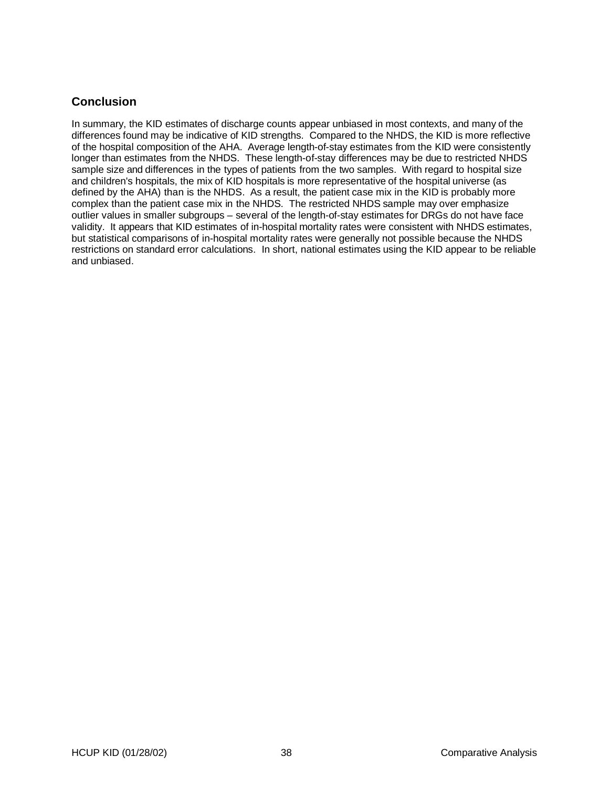## **Conclusion**

In summary, the KID estimates of discharge counts appear unbiased in most contexts, and many of the differences found may be indicative of KID strengths. Compared to the NHDS, the KID is more reflective of the hospital composition of the AHA. Average length-of-stay estimates from the KID were consistently longer than estimates from the NHDS. These length-of-stay differences may be due to restricted NHDS sample size and differences in the types of patients from the two samples. With regard to hospital size and children's hospitals, the mix of KID hospitals is more representative of the hospital universe (as defined by the AHA) than is the NHDS. As a result, the patient case mix in the KID is probably more complex than the patient case mix in the NHDS. The restricted NHDS sample may over emphasize outlier values in smaller subgroups – several of the length-of-stay estimates for DRGs do not have face validity. It appears that KID estimates of in-hospital mortality rates were consistent with NHDS estimates, but statistical comparisons of in-hospital mortality rates were generally not possible because the NHDS restrictions on standard error calculations. In short, national estimates using the KID appear to be reliable and unbiased.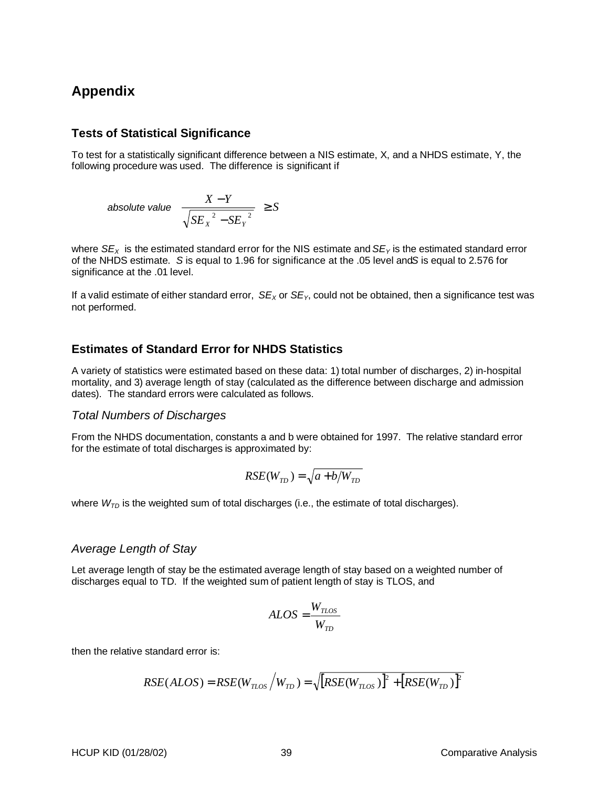## **Appendix**

#### **Tests of Statistical Significance**

To test for a statistically significant difference between a NIS estimate, X, and a NHDS estimate, Y, the following procedure was used. The difference is significant if

absolute value 
$$
\left(\frac{X-Y}{\sqrt{SE_X^2 - SE_Y^2}}\right) \geq S
$$

where  $SE_{x}$  is the estimated standard error for the NIS estimate and  $SE_{y}$  is the estimated standard error of the NHDS estimate. S is equal to 1.96 for significance at the .05 level and S is equal to 2.576 for significance at the .01 level.

If a valid estimate of either standard error,  $SE_X$  or  $SE_Y$ , could not be obtained, then a significance test was not performed.

### **Estimates of Standard Error for NHDS Statistics**

A variety of statistics were estimated based on these data: 1) total number of discharges, 2) in-hospital mortality, and 3) average length of stay (calculated as the difference between discharge and admission dates). The standard errors were calculated as follows.

#### Total Numbers of Discharges

From the NHDS documentation, constants a and b were obtained for 1997. The relative standard error for the estimate of total discharges is approximated by:

$$
RSE(W_{TD}) = \sqrt{a + b/W_{TD}}
$$

where  $W_{\mathcal{TD}}$  is the weighted sum of total discharges (i.e., the estimate of total discharges).

#### Average Length of Stay

Let average length of stay be the estimated average length of stay based on a weighted number of discharges equal to TD. If the weighted sum of patient length of stay is TLOS, and

$$
ALOS = \frac{W_{TLOS}}{W_{TD}}
$$

then the relative standard error is:

$$
RSE(ALOS) = RSE(W_{TLOS} / W_{TD}) = \sqrt{[RSE(W_{TLOS})]^2 + [RSE(W_{TD})]^2}
$$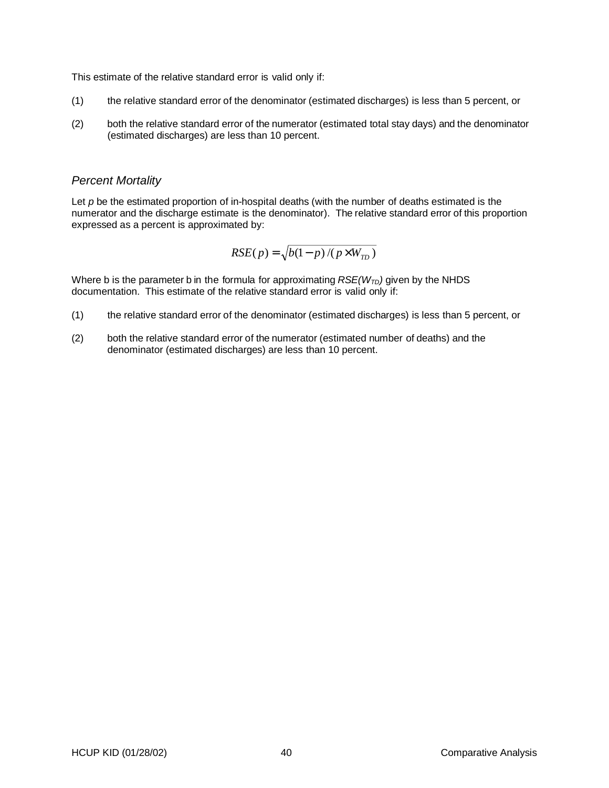This estimate of the relative standard error is valid only if:

- (1) the relative standard error of the denominator (estimated discharges) is less than 5 percent, or
- (2) both the relative standard error of the numerator (estimated total stay days) and the denominator (estimated discharges) are less than 10 percent.

#### Percent Mortality

Let  $p$  be the estimated proportion of in-hospital deaths (with the number of deaths estimated is the numerator and the discharge estimate is the denominator). The relative standard error of this proportion expressed as a percent is approximated by:

$$
RSE(p) = \sqrt{b(1-p)/(p \times W_{TD})}
$$

Where b is the parameter b in the formula for approximating  $RSE(W_{TD})$  given by the NHDS documentation. This estimate of the relative standard error is valid only if:

- (1) the relative standard error of the denominator (estimated discharges) is less than 5 percent, or
- (2) both the relative standard error of the numerator (estimated number of deaths) and the denominator (estimated discharges) are less than 10 percent.